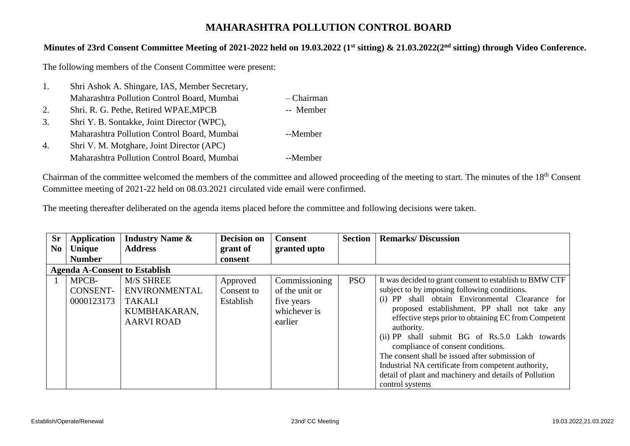## **MAHARASHTRA POLLUTION CONTROL BOARD**

## **Minutes of 23rd Consent Committee Meeting of 2021-2022 held on 19.03.2022 (1st sitting) & 21.03.2022(2nd sitting) through Video Conference.**

The following members of the Consent Committee were present:

| 1.                    | Shri Ashok A. Shingare, IAS, Member Secretary, |            |
|-----------------------|------------------------------------------------|------------|
|                       | Maharashtra Pollution Control Board, Mumbai    | - Chairman |
| 2.                    | Shri. R. G. Pethe, Retired WPAE, MPCB          | -- Member  |
| 3.                    | Shri Y. B. Sontakke, Joint Director (WPC),     |            |
|                       | Maharashtra Pollution Control Board, Mumbai    | --Member   |
| $\mathcal{A}_{\cdot}$ | Shri V. M. Motghare, Joint Director (APC)      |            |
|                       | Maharashtra Pollution Control Board, Mumbai    | --Member   |

Chairman of the committee welcomed the members of the committee and allowed proceeding of the meeting to start. The minutes of the 18th Consent Committee meeting of 2021-22 held on 08.03.2021 circulated vide email were confirmed.

The meeting thereafter deliberated on the agenda items placed before the committee and following decisions were taken.

| <b>Sr</b>      | <b>Application</b>                     | <b>Industry Name &amp;</b>                                                                     | <b>Decision on</b>                  | <b>Consent</b>                                                           | <b>Section</b> | <b>Remarks/Discussion</b>                                                                                                                                                                                                                                                                                                                                                                                                                                                                                                                                            |  |  |  |
|----------------|----------------------------------------|------------------------------------------------------------------------------------------------|-------------------------------------|--------------------------------------------------------------------------|----------------|----------------------------------------------------------------------------------------------------------------------------------------------------------------------------------------------------------------------------------------------------------------------------------------------------------------------------------------------------------------------------------------------------------------------------------------------------------------------------------------------------------------------------------------------------------------------|--|--|--|
| N <sub>0</sub> | <b>Unique</b>                          | <b>Address</b>                                                                                 | grant of                            | granted upto                                                             |                |                                                                                                                                                                                                                                                                                                                                                                                                                                                                                                                                                                      |  |  |  |
|                | <b>Number</b>                          |                                                                                                | consent                             |                                                                          |                |                                                                                                                                                                                                                                                                                                                                                                                                                                                                                                                                                                      |  |  |  |
|                | <b>Agenda A-Consent to Establish</b>   |                                                                                                |                                     |                                                                          |                |                                                                                                                                                                                                                                                                                                                                                                                                                                                                                                                                                                      |  |  |  |
|                | MPCB-<br><b>CONSENT-</b><br>0000123173 | <b>M/S SHREE</b><br><b>ENVIRONMENTAL</b><br><b>TAKALI</b><br>KUMBHAKARAN,<br><b>AARVI ROAD</b> | Approved<br>Consent to<br>Establish | Commissioning<br>of the unit or<br>five years<br>whichever is<br>earlier | <b>PSO</b>     | It was decided to grant consent to establish to BMW CTF<br>subject to by imposing following conditions.<br>shall obtain Environmental Clearance for<br>$(i)$ PP<br>proposed establishment. PP shall not take any<br>effective steps prior to obtaining EC from Competent<br>authority.<br>(ii) PP shall submit BG of Rs.5.0 Lakh towards<br>compliance of consent conditions.<br>The consent shall be issued after submission of<br>Industrial NA certificate from competent authority,<br>detail of plant and machinery and details of Pollution<br>control systems |  |  |  |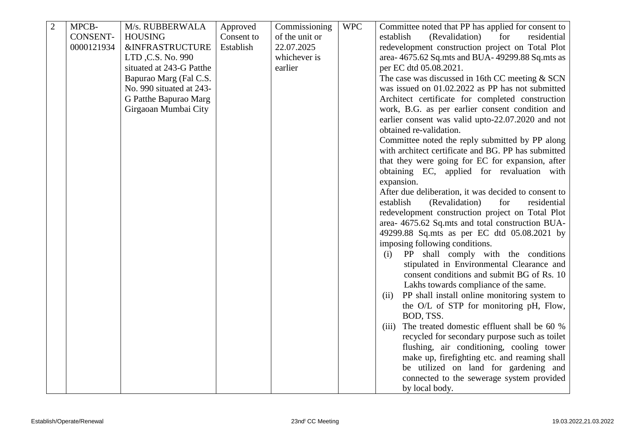| $\overline{2}$ | MPCB-           | M/s. RUBBERWALA            | Approved   | Commissioning  | <b>WPC</b> | Committee noted that PP has applied for consent to   |
|----------------|-----------------|----------------------------|------------|----------------|------------|------------------------------------------------------|
|                | <b>CONSENT-</b> | <b>HOUSING</b>             | Consent to | of the unit or |            | (Revalidation)<br>establish<br>for<br>residential    |
|                | 0000121934      | <b>&amp;INFRASTRUCTURE</b> | Establish  | 22.07.2025     |            | redevelopment construction project on Total Plot     |
|                |                 | LTD, C.S. No. 990          |            | whichever is   |            | area- 4675.62 Sq.mts and BUA- 49299.88 Sq.mts as     |
|                |                 | situated at 243-G Patthe   |            | earlier        |            | per EC dtd 05.08.2021.                               |
|                |                 | Bapurao Marg (Fal C.S.     |            |                |            | The case was discussed in 16th CC meeting $&$ SCN    |
|                |                 | No. 990 situated at 243-   |            |                |            | was issued on 01.02.2022 as PP has not submitted     |
|                |                 | G Patthe Bapurao Marg      |            |                |            | Architect certificate for completed construction     |
|                |                 | Girgaoan Mumbai City       |            |                |            | work, B.G. as per earlier consent condition and      |
|                |                 |                            |            |                |            | earlier consent was valid upto-22.07.2020 and not    |
|                |                 |                            |            |                |            | obtained re-validation.                              |
|                |                 |                            |            |                |            | Committee noted the reply submitted by PP along      |
|                |                 |                            |            |                |            | with architect certificate and BG. PP has submitted  |
|                |                 |                            |            |                |            | that they were going for EC for expansion, after     |
|                |                 |                            |            |                |            | obtaining EC, applied for revaluation with           |
|                |                 |                            |            |                |            | expansion.                                           |
|                |                 |                            |            |                |            | After due deliberation, it was decided to consent to |
|                |                 |                            |            |                |            | establish<br>(Revalidation)<br>residential<br>for    |
|                |                 |                            |            |                |            | redevelopment construction project on Total Plot     |
|                |                 |                            |            |                |            | area-4675.62 Sq.mts and total construction BUA-      |
|                |                 |                            |            |                |            | 49299.88 Sq.mts as per EC dtd 05.08.2021 by          |
|                |                 |                            |            |                |            | imposing following conditions.                       |
|                |                 |                            |            |                |            | PP shall comply with the conditions<br>(i)           |
|                |                 |                            |            |                |            | stipulated in Environmental Clearance and            |
|                |                 |                            |            |                |            | consent conditions and submit BG of Rs. 10           |
|                |                 |                            |            |                |            | Lakhs towards compliance of the same.                |
|                |                 |                            |            |                |            | PP shall install online monitoring system to<br>(ii) |
|                |                 |                            |            |                |            | the O/L of STP for monitoring pH, Flow,              |
|                |                 |                            |            |                |            | BOD, TSS.                                            |
|                |                 |                            |            |                |            | The treated domestic effluent shall be 60 %<br>(iii) |
|                |                 |                            |            |                |            | recycled for secondary purpose such as toilet        |
|                |                 |                            |            |                |            | flushing, air conditioning, cooling tower            |
|                |                 |                            |            |                |            | make up, firefighting etc. and reaming shall         |
|                |                 |                            |            |                |            | be utilized on land for gardening and                |
|                |                 |                            |            |                |            | connected to the sewerage system provided            |
|                |                 |                            |            |                |            | by local body.                                       |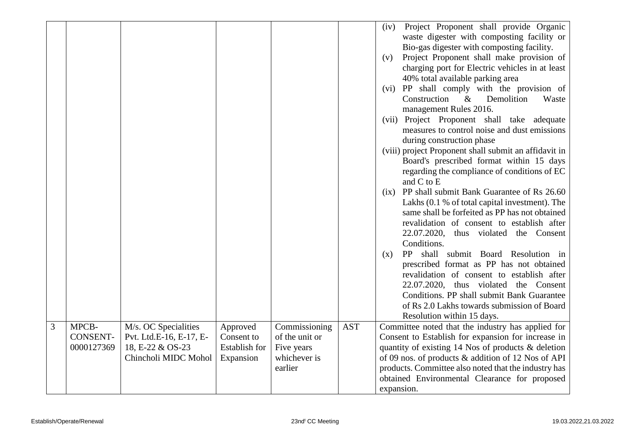|                |                                        |                                                                                             |                                                             |                                                                          |            | Project Proponent shall provide Organic<br>(iv)<br>waste digester with composting facility or<br>Bio-gas digester with composting facility.<br>Project Proponent shall make provision of<br>(v)<br>charging port for Electric vehicles in at least<br>40% total available parking area<br>(vi) PP shall comply with the provision of<br>Construction<br>Demolition<br>Waste<br>$\&$<br>management Rules 2016.<br>(vii) Project Proponent shall take adequate<br>measures to control noise and dust emissions<br>during construction phase<br>(viii) project Proponent shall submit an affidavit in<br>Board's prescribed format within 15 days<br>regarding the compliance of conditions of EC<br>and C to E<br>PP shall submit Bank Guarantee of Rs 26.60<br>(ix)<br>Lakhs (0.1 % of total capital investment). The<br>same shall be forfeited as PP has not obtained<br>revalidation of consent to establish after<br>22.07.2020,<br>thus violated the Consent<br>Conditions.<br>PP shall submit Board Resolution in<br>(x)<br>prescribed format as PP has not obtained<br>revalidation of consent to establish after<br>22.07.2020, thus violated the Consent<br>Conditions. PP shall submit Bank Guarantee<br>of Rs 2.0 Lakhs towards submission of Board<br>Resolution within 15 days. |
|----------------|----------------------------------------|---------------------------------------------------------------------------------------------|-------------------------------------------------------------|--------------------------------------------------------------------------|------------|---------------------------------------------------------------------------------------------------------------------------------------------------------------------------------------------------------------------------------------------------------------------------------------------------------------------------------------------------------------------------------------------------------------------------------------------------------------------------------------------------------------------------------------------------------------------------------------------------------------------------------------------------------------------------------------------------------------------------------------------------------------------------------------------------------------------------------------------------------------------------------------------------------------------------------------------------------------------------------------------------------------------------------------------------------------------------------------------------------------------------------------------------------------------------------------------------------------------------------------------------------------------------------------------|
| $\overline{3}$ | MPCB-<br><b>CONSENT-</b><br>0000127369 | M/s. OC Specialities<br>Pvt. Ltd.E-16, E-17, E-<br>18, E-22 & OS-23<br>Chincholi MIDC Mohol | Approved<br>Consent to<br><b>Establish for</b><br>Expansion | Commissioning<br>of the unit or<br>Five years<br>whichever is<br>earlier | <b>AST</b> | Committee noted that the industry has applied for<br>Consent to Establish for expansion for increase in<br>quantity of existing 14 Nos of products & deletion<br>of 09 nos. of products & addition of 12 Nos of API<br>products. Committee also noted that the industry has<br>obtained Environmental Clearance for proposed                                                                                                                                                                                                                                                                                                                                                                                                                                                                                                                                                                                                                                                                                                                                                                                                                                                                                                                                                                |
|                |                                        |                                                                                             |                                                             |                                                                          |            | expansion.                                                                                                                                                                                                                                                                                                                                                                                                                                                                                                                                                                                                                                                                                                                                                                                                                                                                                                                                                                                                                                                                                                                                                                                                                                                                                  |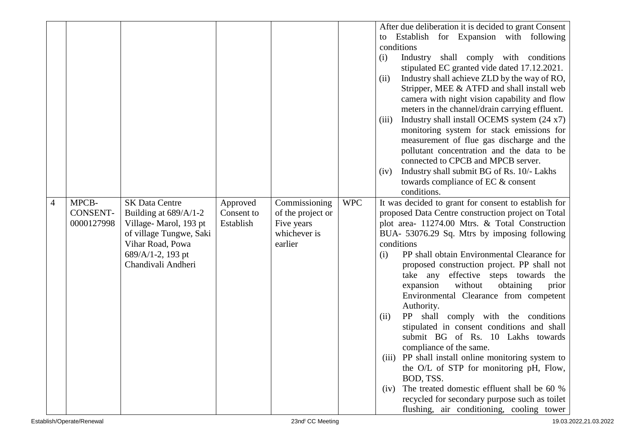|   |                                        |                                                                                                                                                                   |                                     |                                                                             |            | After due deliberation it is decided to grant Consent<br>to Establish for Expansion with following<br>conditions<br>Industry shall comply with conditions<br>(i)<br>stipulated EC granted vide dated 17.12.2021.<br>Industry shall achieve ZLD by the way of RO,<br>(ii)<br>Stripper, MEE & ATFD and shall install web<br>camera with night vision capability and flow<br>meters in the channel/drain carrying effluent.<br>Industry shall install OCEMS system (24 x7)<br>(iii)<br>monitoring system for stack emissions for<br>measurement of flue gas discharge and the<br>pollutant concentration and the data to be<br>connected to CPCB and MPCB server.<br>Industry shall submit BG of Rs. 10/- Lakhs<br>(iv)                                                                                                                                                                                          |
|---|----------------------------------------|-------------------------------------------------------------------------------------------------------------------------------------------------------------------|-------------------------------------|-----------------------------------------------------------------------------|------------|---------------------------------------------------------------------------------------------------------------------------------------------------------------------------------------------------------------------------------------------------------------------------------------------------------------------------------------------------------------------------------------------------------------------------------------------------------------------------------------------------------------------------------------------------------------------------------------------------------------------------------------------------------------------------------------------------------------------------------------------------------------------------------------------------------------------------------------------------------------------------------------------------------------|
|   |                                        |                                                                                                                                                                   |                                     |                                                                             |            | towards compliance of EC & consent<br>conditions.                                                                                                                                                                                                                                                                                                                                                                                                                                                                                                                                                                                                                                                                                                                                                                                                                                                             |
| 4 | MPCB-<br><b>CONSENT-</b><br>0000127998 | <b>SK Data Centre</b><br>Building at 689/A/1-2<br>Village-Marol, 193 pt<br>of village Tungwe, Saki<br>Vihar Road, Powa<br>689/A/1-2, 193 pt<br>Chandivali Andheri | Approved<br>Consent to<br>Establish | Commissioning<br>of the project or<br>Five years<br>whichever is<br>earlier | <b>WPC</b> | It was decided to grant for consent to establish for<br>proposed Data Centre construction project on Total<br>plot area- 11274.00 Mtrs. & Total Construction<br>BUA- 53076.29 Sq. Mtrs by imposing following<br>conditions<br>PP shall obtain Environmental Clearance for<br>(i)<br>proposed construction project. PP shall not<br>take any effective steps towards the<br>expansion<br>without<br>obtaining<br>prior<br>Environmental Clearance from competent<br>Authority.<br>PP shall comply with the conditions<br>(ii)<br>stipulated in consent conditions and shall<br>submit BG of Rs. 10 Lakhs towards<br>compliance of the same.<br>(iii) PP shall install online monitoring system to<br>the O/L of STP for monitoring pH, Flow,<br>BOD, TSS.<br>The treated domestic effluent shall be 60 %<br>(iv)<br>recycled for secondary purpose such as toilet<br>flushing, air conditioning, cooling tower |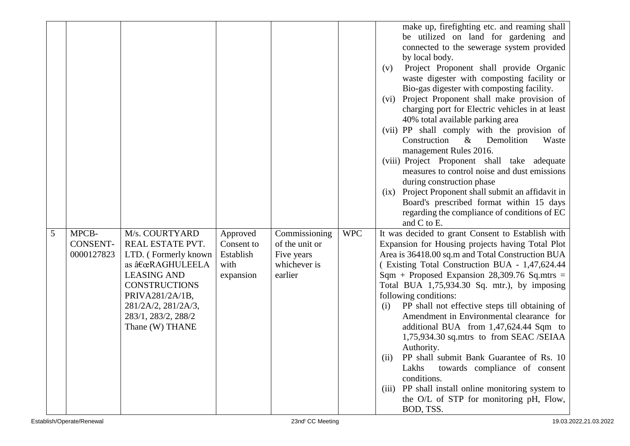|   |            |                      |            |                |            | make up, firefighting etc. and reaming shall          |
|---|------------|----------------------|------------|----------------|------------|-------------------------------------------------------|
|   |            |                      |            |                |            | be utilized on land for gardening and                 |
|   |            |                      |            |                |            | connected to the sewerage system provided             |
|   |            |                      |            |                |            | by local body.                                        |
|   |            |                      |            |                |            | Project Proponent shall provide Organic<br>(v)        |
|   |            |                      |            |                |            | waste digester with composting facility or            |
|   |            |                      |            |                |            | Bio-gas digester with composting facility.            |
|   |            |                      |            |                |            | Project Proponent shall make provision of<br>(vi)     |
|   |            |                      |            |                |            | charging port for Electric vehicles in at least       |
|   |            |                      |            |                |            | 40% total available parking area                      |
|   |            |                      |            |                |            | (vii) PP shall comply with the provision of           |
|   |            |                      |            |                |            | Construction<br>Demolition<br>$\&$<br>Waste           |
|   |            |                      |            |                |            | management Rules 2016.                                |
|   |            |                      |            |                |            | (viii) Project Proponent shall take adequate          |
|   |            |                      |            |                |            | measures to control noise and dust emissions          |
|   |            |                      |            |                |            | during construction phase                             |
|   |            |                      |            |                |            | (ix) Project Proponent shall submit an affidavit in   |
|   |            |                      |            |                |            | Board's prescribed format within 15 days              |
|   |            |                      |            |                |            | regarding the compliance of conditions of EC          |
|   |            |                      |            |                |            | and C to E.                                           |
| 5 | MPCB-      | M/s. COURTYARD       | Approved   | Commissioning  | <b>WPC</b> | It was decided to grant Consent to Establish with     |
|   | CONSENT-   | REAL ESTATE PVT.     | Consent to | of the unit or |            | Expansion for Housing projects having Total Plot      |
|   | 0000127823 | LTD. (Formerly known | Establish  | Five years     |            | Area is 36418.00 sq.m and Total Construction BUA      |
|   |            | as "RAGHULEELA       | with       | whichever is   |            | (Existing Total Construction BUA - 1,47,624.44        |
|   |            | <b>LEASING AND</b>   | expansion  | earlier        |            | Sqm + Proposed Expansion 28,309.76 Sq.mtrs =          |
|   |            | <b>CONSTRUCTIONS</b> |            |                |            | Total BUA 1,75,934.30 Sq. mtr.), by imposing          |
|   |            | PRIVA281/2A/1B,      |            |                |            | following conditions:                                 |
|   |            | 281/2A/2, 281/2A/3,  |            |                |            | PP shall not effective steps till obtaining of<br>(i) |
|   |            | 283/1, 283/2, 288/2  |            |                |            | Amendment in Environmental clearance for              |
|   |            | Thane (W) THANE      |            |                |            | additional BUA from 1,47,624.44 Sqm to                |
|   |            |                      |            |                |            | 1,75,934.30 sq.mtrs to from SEAC /SEIAA               |
|   |            |                      |            |                |            | Authority.                                            |
|   |            |                      |            |                |            | PP shall submit Bank Guarantee of Rs. 10<br>(ii)      |
|   |            |                      |            |                |            | Lakhs<br>towards compliance of consent                |
|   |            |                      |            |                |            | conditions.                                           |
|   |            |                      |            |                |            | (iii) PP shall install online monitoring system to    |
|   |            |                      |            |                |            |                                                       |
|   |            |                      |            |                |            | the O/L of STP for monitoring pH, Flow,               |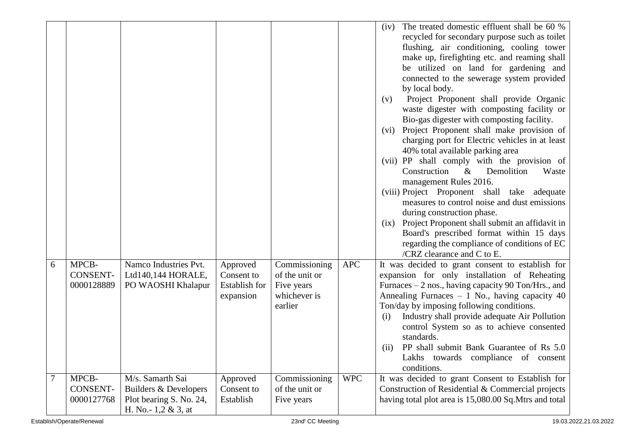|                |                 |                                                 |               |                            |            | The treated domestic effluent shall be 60 %<br>(iv)<br>recycled for secondary purpose such as toilet<br>flushing, air conditioning, cooling tower<br>make up, firefighting etc. and reaming shall<br>be utilized on land for gardening and<br>connected to the sewerage system provided<br>by local body.<br>Project Proponent shall provide Organic<br>(v)<br>waste digester with composting facility or<br>Bio-gas digester with composting facility.<br>Project Proponent shall make provision of<br>(vi)<br>charging port for Electric vehicles in at least<br>40% total available parking area<br>(vii) PP shall comply with the provision of<br>Construction<br>Demolition<br>$\&$<br>Waste<br>management Rules 2016.<br>(viii) Project Proponent shall take adequate<br>measures to control noise and dust emissions<br>during construction phase.<br>Project Proponent shall submit an affidavit in<br>(ix)<br>Board's prescribed format within 15 days<br>regarding the compliance of conditions of EC<br>/CRZ clearance and $C$ to $E$ . |
|----------------|-----------------|-------------------------------------------------|---------------|----------------------------|------------|----------------------------------------------------------------------------------------------------------------------------------------------------------------------------------------------------------------------------------------------------------------------------------------------------------------------------------------------------------------------------------------------------------------------------------------------------------------------------------------------------------------------------------------------------------------------------------------------------------------------------------------------------------------------------------------------------------------------------------------------------------------------------------------------------------------------------------------------------------------------------------------------------------------------------------------------------------------------------------------------------------------------------------------------------|
| 6              | MPCB-           | Namco Industries Pvt.                           | Approved      | Commissioning              | <b>APC</b> | It was decided to grant consent to establish for                                                                                                                                                                                                                                                                                                                                                                                                                                                                                                                                                                                                                                                                                                                                                                                                                                                                                                                                                                                                   |
|                | <b>CONSENT-</b> | Ltd140,144 HORALE,                              | Consent to    | of the unit or             |            | expansion for only installation of Reheating                                                                                                                                                                                                                                                                                                                                                                                                                                                                                                                                                                                                                                                                                                                                                                                                                                                                                                                                                                                                       |
|                | 0000128889      | PO WAOSHI Khalapur                              | Establish for | Five years<br>whichever is |            | Furnaces $-2$ nos., having capacity 90 Ton/Hrs., and                                                                                                                                                                                                                                                                                                                                                                                                                                                                                                                                                                                                                                                                                                                                                                                                                                                                                                                                                                                               |
|                |                 |                                                 | expansion     | earlier                    |            | Annealing Furnaces $-1$ No., having capacity 40<br>Ton/day by imposing following conditions.                                                                                                                                                                                                                                                                                                                                                                                                                                                                                                                                                                                                                                                                                                                                                                                                                                                                                                                                                       |
|                |                 |                                                 |               |                            |            | Industry shall provide adequate Air Pollution<br>(i)<br>control System so as to achieve consented<br>standards.                                                                                                                                                                                                                                                                                                                                                                                                                                                                                                                                                                                                                                                                                                                                                                                                                                                                                                                                    |
|                |                 |                                                 |               |                            |            | PP shall submit Bank Guarantee of Rs 5.0<br>(ii)<br>Lakhs towards compliance of consent<br>conditions.                                                                                                                                                                                                                                                                                                                                                                                                                                                                                                                                                                                                                                                                                                                                                                                                                                                                                                                                             |
| $\overline{7}$ | MPCB-           | M/s. Samarth Sai                                | Approved      | Commissioning              | <b>WPC</b> | It was decided to grant Consent to Establish for                                                                                                                                                                                                                                                                                                                                                                                                                                                                                                                                                                                                                                                                                                                                                                                                                                                                                                                                                                                                   |
|                | <b>CONSENT-</b> | Builders & Developers                           | Consent to    | of the unit or             |            | Construction of Residential & Commercial projects                                                                                                                                                                                                                                                                                                                                                                                                                                                                                                                                                                                                                                                                                                                                                                                                                                                                                                                                                                                                  |
|                | 0000127768      | Plot bearing S. No. 24,<br>H. No. - 1,2 & 3, at | Establish     | Five years                 |            | having total plot area is 15,080.00 Sq.Mtrs and total                                                                                                                                                                                                                                                                                                                                                                                                                                                                                                                                                                                                                                                                                                                                                                                                                                                                                                                                                                                              |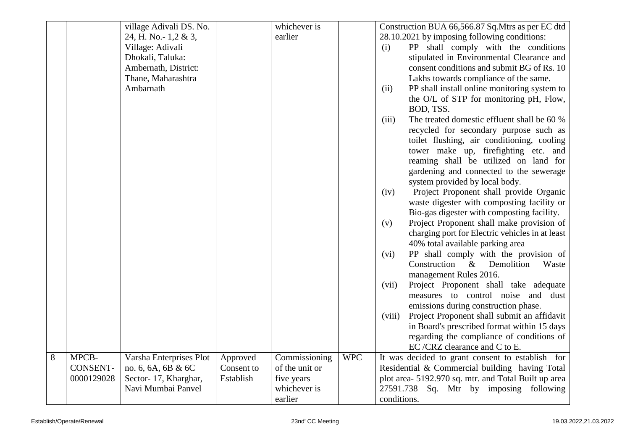|   |                 | village Adivali DS. No. |            | whichever is   |            | Construction BUA 66,566.87 Sq. Mtrs as per EC dtd     |
|---|-----------------|-------------------------|------------|----------------|------------|-------------------------------------------------------|
|   |                 | 24, H. No.- 1,2 & 3,    |            | earlier        |            | 28.10.2021 by imposing following conditions:          |
|   |                 | Village: Adivali        |            |                |            | PP shall comply with the conditions<br>(i)            |
|   |                 | Dhokali, Taluka:        |            |                |            | stipulated in Environmental Clearance and             |
|   |                 | Ambernath, District:    |            |                |            | consent conditions and submit BG of Rs. 10            |
|   |                 | Thane, Maharashtra      |            |                |            | Lakhs towards compliance of the same.                 |
|   |                 | Ambarnath               |            |                |            | (ii)<br>PP shall install online monitoring system to  |
|   |                 |                         |            |                |            | the O/L of STP for monitoring pH, Flow,               |
|   |                 |                         |            |                |            | BOD, TSS.                                             |
|   |                 |                         |            |                |            | (iii)<br>The treated domestic effluent shall be 60 %  |
|   |                 |                         |            |                |            | recycled for secondary purpose such as                |
|   |                 |                         |            |                |            | toilet flushing, air conditioning, cooling            |
|   |                 |                         |            |                |            | tower make up, firefighting etc. and                  |
|   |                 |                         |            |                |            | reaming shall be utilized on land for                 |
|   |                 |                         |            |                |            | gardening and connected to the sewerage               |
|   |                 |                         |            |                |            | system provided by local body.                        |
|   |                 |                         |            |                |            | Project Proponent shall provide Organic<br>(iv)       |
|   |                 |                         |            |                |            | waste digester with composting facility or            |
|   |                 |                         |            |                |            | Bio-gas digester with composting facility.            |
|   |                 |                         |            |                |            | Project Proponent shall make provision of<br>(v)      |
|   |                 |                         |            |                |            | charging port for Electric vehicles in at least       |
|   |                 |                         |            |                |            | 40% total available parking area                      |
|   |                 |                         |            |                |            | PP shall comply with the provision of<br>(vi)         |
|   |                 |                         |            |                |            | Construction<br>$\&$<br>Demolition<br>Waste           |
|   |                 |                         |            |                |            | management Rules 2016.                                |
|   |                 |                         |            |                |            | (vii)<br>Project Proponent shall take adequate        |
|   |                 |                         |            |                |            | measures to control noise and dust                    |
|   |                 |                         |            |                |            | emissions during construction phase.                  |
|   |                 |                         |            |                |            | (viii)<br>Project Proponent shall submit an affidavit |
|   |                 |                         |            |                |            | in Board's prescribed format within 15 days           |
|   |                 |                         |            |                |            | regarding the compliance of conditions of             |
|   |                 |                         |            |                |            | EC/CRZ clearance and C to E.                          |
| 8 | MPCB-           | Varsha Enterprises Plot | Approved   | Commissioning  | <b>WPC</b> | It was decided to grant consent to establish for      |
|   | <b>CONSENT-</b> | no. 6, 6A, 6B & 6C      | Consent to | of the unit or |            | Residential & Commercial building having Total        |
|   | 0000129028      | Sector-17, Kharghar,    | Establish  | five years     |            | plot area- 5192.970 sq. mtr. and Total Built up area  |
|   |                 | Navi Mumbai Panvel      |            | whichever is   |            | 27591.738 Sq. Mtr by imposing following               |
|   |                 |                         |            | earlier        |            | conditions.                                           |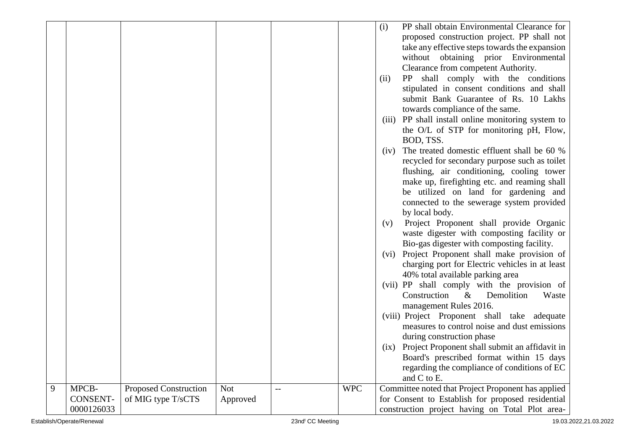|   |                 |                              |            |     |            | (i)  | PP shall obtain Environmental Clearance for        |
|---|-----------------|------------------------------|------------|-----|------------|------|----------------------------------------------------|
|   |                 |                              |            |     |            |      | proposed construction project. PP shall not        |
|   |                 |                              |            |     |            |      | take any effective steps towards the expansion     |
|   |                 |                              |            |     |            |      | without obtaining prior Environmental              |
|   |                 |                              |            |     |            |      | Clearance from competent Authority.                |
|   |                 |                              |            |     |            | (ii) | PP shall comply with the conditions                |
|   |                 |                              |            |     |            |      | stipulated in consent conditions and shall         |
|   |                 |                              |            |     |            |      | submit Bank Guarantee of Rs. 10 Lakhs              |
|   |                 |                              |            |     |            |      | towards compliance of the same.                    |
|   |                 |                              |            |     |            |      | (iii) PP shall install online monitoring system to |
|   |                 |                              |            |     |            |      |                                                    |
|   |                 |                              |            |     |            |      | the O/L of STP for monitoring pH, Flow,            |
|   |                 |                              |            |     |            |      | BOD, TSS.                                          |
|   |                 |                              |            |     |            | (iv) | The treated domestic effluent shall be 60 %        |
|   |                 |                              |            |     |            |      | recycled for secondary purpose such as toilet      |
|   |                 |                              |            |     |            |      | flushing, air conditioning, cooling tower          |
|   |                 |                              |            |     |            |      | make up, firefighting etc. and reaming shall       |
|   |                 |                              |            |     |            |      | be utilized on land for gardening and              |
|   |                 |                              |            |     |            |      | connected to the sewerage system provided          |
|   |                 |                              |            |     |            |      | by local body.                                     |
|   |                 |                              |            |     |            | (v)  | Project Proponent shall provide Organic            |
|   |                 |                              |            |     |            |      | waste digester with composting facility or         |
|   |                 |                              |            |     |            |      | Bio-gas digester with composting facility.         |
|   |                 |                              |            |     |            |      | (vi) Project Proponent shall make provision of     |
|   |                 |                              |            |     |            |      | charging port for Electric vehicles in at least    |
|   |                 |                              |            |     |            |      | 40% total available parking area                   |
|   |                 |                              |            |     |            |      | (vii) PP shall comply with the provision of        |
|   |                 |                              |            |     |            |      | Construction<br>$\&$<br>Demolition<br>Waste        |
|   |                 |                              |            |     |            |      | management Rules 2016.                             |
|   |                 |                              |            |     |            |      | (viii) Project Proponent shall take adequate       |
|   |                 |                              |            |     |            |      | measures to control noise and dust emissions       |
|   |                 |                              |            |     |            |      | during construction phase                          |
|   |                 |                              |            |     |            | (ix) | Project Proponent shall submit an affidavit in     |
|   |                 |                              |            |     |            |      | Board's prescribed format within 15 days           |
|   |                 |                              |            |     |            |      | regarding the compliance of conditions of EC       |
|   |                 |                              |            |     |            |      | and C to E.                                        |
| 9 | MPCB-           | <b>Proposed Construction</b> | <b>Not</b> | $-$ | <b>WPC</b> |      | Committee noted that Project Proponent has applied |
|   | <b>CONSENT-</b> | of MIG type T/sCTS           | Approved   |     |            |      | for Consent to Establish for proposed residential  |
|   | 0000126033      |                              |            |     |            |      | construction project having on Total Plot area-    |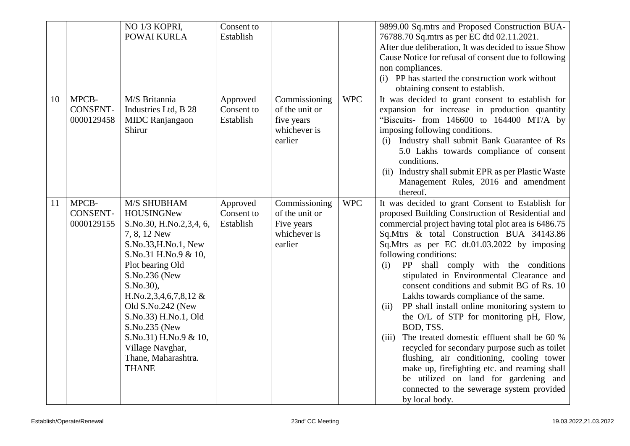|    |                                        | NO 1/3 KOPRI,<br>POWAI KURLA                                                                                                                                                                                                                                                                                                                             | Consent to<br>Establish             |                                                                          |            | 9899.00 Sq.mtrs and Proposed Construction BUA-<br>76788.70 Sq.mtrs as per EC dtd 02.11.2021.<br>After due deliberation, It was decided to issue Show<br>Cause Notice for refusal of consent due to following<br>non compliances.<br>(i) PP has started the construction work without<br>obtaining consent to establish.                                                                                                                                                                                                                                                                                                                                                                                                                                                                                                                                                                            |
|----|----------------------------------------|----------------------------------------------------------------------------------------------------------------------------------------------------------------------------------------------------------------------------------------------------------------------------------------------------------------------------------------------------------|-------------------------------------|--------------------------------------------------------------------------|------------|----------------------------------------------------------------------------------------------------------------------------------------------------------------------------------------------------------------------------------------------------------------------------------------------------------------------------------------------------------------------------------------------------------------------------------------------------------------------------------------------------------------------------------------------------------------------------------------------------------------------------------------------------------------------------------------------------------------------------------------------------------------------------------------------------------------------------------------------------------------------------------------------------|
| 10 | MPCB-<br><b>CONSENT-</b><br>0000129458 | M/S Britannia<br>Industries Ltd, B 28<br><b>MIDC</b> Ranjangaon<br>Shirur                                                                                                                                                                                                                                                                                | Approved<br>Consent to<br>Establish | Commissioning<br>of the unit or<br>five years<br>whichever is<br>earlier | <b>WPC</b> | It was decided to grant consent to establish for<br>expansion for increase in production quantity<br>"Biscuits- from $146600$ to $164400$ MT/A by<br>imposing following conditions.<br>Industry shall submit Bank Guarantee of Rs<br>(i)<br>5.0 Lakhs towards compliance of consent<br>conditions.<br>(ii) Industry shall submit EPR as per Plastic Waste<br>Management Rules, 2016 and amendment<br>thereof.                                                                                                                                                                                                                                                                                                                                                                                                                                                                                      |
| 11 | MPCB-<br><b>CONSENT-</b><br>0000129155 | <b>M/S SHUBHAM</b><br>HOUSINGNew<br>S.No.30, H.No.2,3,4, 6,<br>7, 8, 12 New<br>S.No.33, H.No.1, New<br>S.No.31 H.No.9 & 10,<br>Plot bearing Old<br>S.No.236 (New<br>S.No.30),<br>H.No.2,3,4,6,7,8,12 &<br>Old S.No.242 (New<br>S.No.33) H.No.1, Old<br>S.No.235 (New<br>S.No.31) H.No.9 & 10,<br>Village Navghar,<br>Thane, Maharashtra.<br><b>THANE</b> | Approved<br>Consent to<br>Establish | Commissioning<br>of the unit or<br>Five years<br>whichever is<br>earlier | <b>WPC</b> | It was decided to grant Consent to Establish for<br>proposed Building Construction of Residential and<br>commercial project having total plot area is 6486.75<br>Sq.Mtrs & total Construction BUA 34143.86<br>Sq.Mtrs as per EC dt.01.03.2022 by imposing<br>following conditions:<br>PP shall comply with the conditions<br>(i)<br>stipulated in Environmental Clearance and<br>consent conditions and submit BG of Rs. 10<br>Lakhs towards compliance of the same.<br>PP shall install online monitoring system to<br>(ii)<br>the O/L of STP for monitoring pH, Flow,<br>BOD, TSS.<br>The treated domestic effluent shall be 60 %<br>(iii)<br>recycled for secondary purpose such as toilet<br>flushing, air conditioning, cooling tower<br>make up, firefighting etc. and reaming shall<br>be utilized on land for gardening and<br>connected to the sewerage system provided<br>by local body. |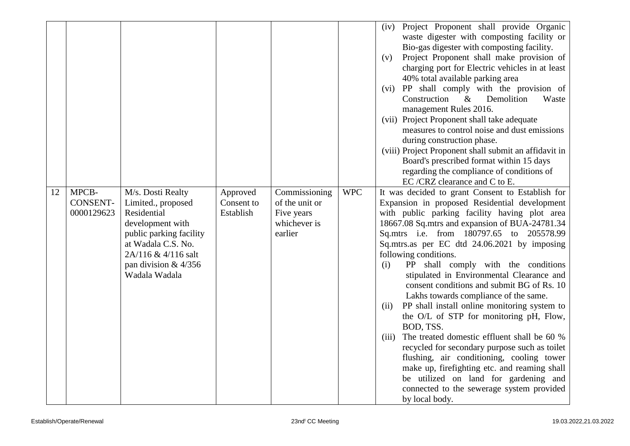|    |                 |                         |            |                |            | Project Proponent shall provide Organic<br>(iv)       |
|----|-----------------|-------------------------|------------|----------------|------------|-------------------------------------------------------|
|    |                 |                         |            |                |            | waste digester with composting facility or            |
|    |                 |                         |            |                |            | Bio-gas digester with composting facility.            |
|    |                 |                         |            |                |            | Project Proponent shall make provision of<br>(v)      |
|    |                 |                         |            |                |            | charging port for Electric vehicles in at least       |
|    |                 |                         |            |                |            | 40% total available parking area                      |
|    |                 |                         |            |                |            | (vi) PP shall comply with the provision of            |
|    |                 |                         |            |                |            | Construction<br>Demolition<br>Waste<br>$\&$           |
|    |                 |                         |            |                |            | management Rules 2016.                                |
|    |                 |                         |            |                |            | (vii) Project Proponent shall take adequate           |
|    |                 |                         |            |                |            | measures to control noise and dust emissions          |
|    |                 |                         |            |                |            | during construction phase.                            |
|    |                 |                         |            |                |            | (viii) Project Proponent shall submit an affidavit in |
|    |                 |                         |            |                |            | Board's prescribed format within 15 days              |
|    |                 |                         |            |                |            | regarding the compliance of conditions of             |
|    |                 |                         |            |                |            | EC/CRZ clearance and C to E.                          |
| 12 | MPCB-           | M/s. Dosti Realty       | Approved   | Commissioning  | <b>WPC</b> | It was decided to grant Consent to Establish for      |
|    | <b>CONSENT-</b> | Limited., proposed      | Consent to | of the unit or |            | Expansion in proposed Residential development         |
|    | 0000129623      | Residential             | Establish  | Five years     |            | with public parking facility having plot area         |
|    |                 | development with        |            | whichever is   |            | 18667.08 Sq.mtrs and expansion of BUA-24781.34        |
|    |                 | public parking facility |            | earlier        |            | Sq.mtrs i.e. from 180797.65 to 205578.99              |
|    |                 | at Wadala C.S. No.      |            |                |            | Sq.mtrs.as per EC dtd 24.06.2021 by imposing          |
|    |                 | 2A/116 & 4/116 salt     |            |                |            | following conditions.                                 |
|    |                 | pan division $& 4/356$  |            |                |            | PP shall comply with the conditions<br>(i)            |
|    |                 | Wadala Wadala           |            |                |            | stipulated in Environmental Clearance and             |
|    |                 |                         |            |                |            | consent conditions and submit BG of Rs. 10            |
|    |                 |                         |            |                |            | Lakhs towards compliance of the same.                 |
|    |                 |                         |            |                |            | PP shall install online monitoring system to<br>(ii)  |
|    |                 |                         |            |                |            | the O/L of STP for monitoring pH, Flow,               |
|    |                 |                         |            |                |            | BOD, TSS.                                             |
|    |                 |                         |            |                |            | The treated domestic effluent shall be 60 %<br>(iii)  |
|    |                 |                         |            |                |            | recycled for secondary purpose such as toilet         |
|    |                 |                         |            |                |            | flushing, air conditioning, cooling tower             |
|    |                 |                         |            |                |            | make up, firefighting etc. and reaming shall          |
|    |                 |                         |            |                |            | be utilized on land for gardening and                 |
|    |                 |                         |            |                |            | connected to the sewerage system provided             |
|    |                 |                         |            |                |            | by local body.                                        |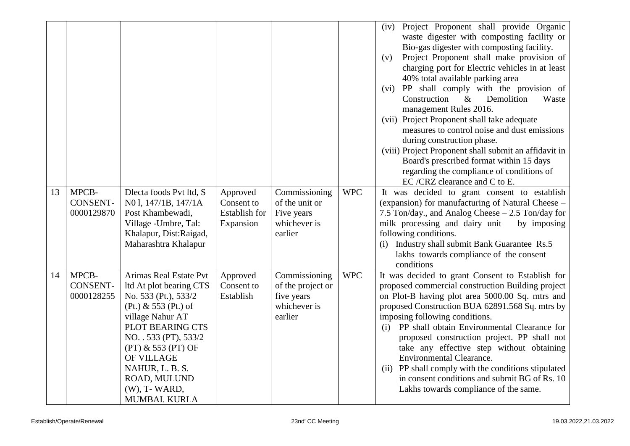|    |                                        |                                                                                                                                                                                                                                                                                 |                                                             |                                                                             |            | Project Proponent shall provide Organic<br>(iv)<br>waste digester with composting facility or<br>Bio-gas digester with composting facility.<br>Project Proponent shall make provision of<br>(v)<br>charging port for Electric vehicles in at least<br>40% total available parking area<br>(vi) PP shall comply with the provision of<br>Construction<br>Demolition<br>Waste<br>$\&$<br>management Rules 2016.<br>(vii) Project Proponent shall take adequate<br>measures to control noise and dust emissions<br>during construction phase.<br>(viii) Project Proponent shall submit an affidavit in<br>Board's prescribed format within 15 days<br>regarding the compliance of conditions of |
|----|----------------------------------------|---------------------------------------------------------------------------------------------------------------------------------------------------------------------------------------------------------------------------------------------------------------------------------|-------------------------------------------------------------|-----------------------------------------------------------------------------|------------|----------------------------------------------------------------------------------------------------------------------------------------------------------------------------------------------------------------------------------------------------------------------------------------------------------------------------------------------------------------------------------------------------------------------------------------------------------------------------------------------------------------------------------------------------------------------------------------------------------------------------------------------------------------------------------------------|
| 13 | MPCB-<br><b>CONSENT-</b><br>0000129870 | Dlecta foods Pvt ltd, S<br>N01, 147/1B, 147/1A<br>Post Khambewadi,<br>Village - Umbre, Tal:<br>Khalapur, Dist:Raigad,<br>Maharashtra Khalapur                                                                                                                                   | Approved<br>Consent to<br><b>Establish for</b><br>Expansion | Commissioning<br>of the unit or<br>Five years<br>whichever is<br>earlier    | <b>WPC</b> | EC/CRZ clearance and C to E.<br>It was decided to grant consent to establish<br>(expansion) for manufacturing of Natural Cheese –<br>7.5 Ton/day., and Analog Cheese – 2.5 Ton/day for<br>milk processing and dairy unit<br>by imposing<br>following conditions.<br>(i) Industry shall submit Bank Guarantee Rs.5<br>lakhs towards compliance of the consent<br>conditions                                                                                                                                                                                                                                                                                                                   |
| 14 | MPCB-<br><b>CONSENT-</b><br>0000128255 | Arimas Real Estate Pvt<br>ltd At plot bearing CTS<br>No. 533 (Pt.), 533/2<br>(Pt.) & 553 (Pt.) of<br>village Nahur AT<br>PLOT BEARING CTS<br>NO. . 533 (PT), 533/2<br>$(PT)$ & 553 $(PT)$ OF<br>OF VILLAGE<br>NAHUR, L. B. S.<br>ROAD, MULUND<br>(W), T- WARD,<br>MUMBAI. KURLA | Approved<br>Consent to<br>Establish                         | Commissioning<br>of the project or<br>five years<br>whichever is<br>earlier | <b>WPC</b> | It was decided to grant Consent to Establish for<br>proposed commercial construction Building project<br>on Plot-B having plot area 5000.00 Sq. mtrs and<br>proposed Construction BUA 62891.568 Sq. mtrs by<br>imposing following conditions.<br>PP shall obtain Environmental Clearance for<br>(i)<br>proposed construction project. PP shall not<br>take any effective step without obtaining<br>Environmental Clearance.<br>(ii) PP shall comply with the conditions stipulated<br>in consent conditions and submit BG of Rs. 10<br>Lakhs towards compliance of the same.                                                                                                                 |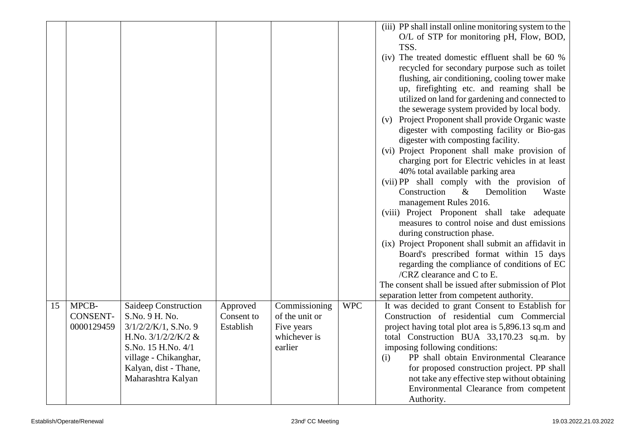|    |                                        |                                                                                                                                                                                          |                                     |                                                                          |            | (iii) PP shall install online monitoring system to the<br>O/L of STP for monitoring pH, Flow, BOD,<br>TSS.                                                                                                                                                                                                                                                                                                                                                                                                                                                                                                                                                                                                                                                                                                                                                                                              |
|----|----------------------------------------|------------------------------------------------------------------------------------------------------------------------------------------------------------------------------------------|-------------------------------------|--------------------------------------------------------------------------|------------|---------------------------------------------------------------------------------------------------------------------------------------------------------------------------------------------------------------------------------------------------------------------------------------------------------------------------------------------------------------------------------------------------------------------------------------------------------------------------------------------------------------------------------------------------------------------------------------------------------------------------------------------------------------------------------------------------------------------------------------------------------------------------------------------------------------------------------------------------------------------------------------------------------|
|    |                                        |                                                                                                                                                                                          |                                     |                                                                          |            | (iv) The treated domestic effluent shall be 60 %<br>recycled for secondary purpose such as toilet<br>flushing, air conditioning, cooling tower make<br>up, firefighting etc. and reaming shall be<br>utilized on land for gardening and connected to<br>the sewerage system provided by local body.<br>Project Proponent shall provide Organic waste<br>(v)<br>digester with composting facility or Bio-gas<br>digester with composting facility.<br>(vi) Project Proponent shall make provision of<br>charging port for Electric vehicles in at least<br>40% total available parking area<br>(vii) PP shall comply with the provision of<br>Demolition<br>Construction<br>$\&$<br>Waste<br>management Rules 2016.<br>(viii) Project Proponent shall take adequate<br>measures to control noise and dust emissions<br>during construction phase.<br>(ix) Project Proponent shall submit an affidavit in |
|    |                                        |                                                                                                                                                                                          |                                     |                                                                          |            | Board's prescribed format within 15 days<br>regarding the compliance of conditions of EC<br>/CRZ clearance and C to E.<br>The consent shall be issued after submission of Plot                                                                                                                                                                                                                                                                                                                                                                                                                                                                                                                                                                                                                                                                                                                          |
| 15 | MPCB-<br><b>CONSENT-</b><br>0000129459 | Saideep Construction<br>S.No. 9 H. No.<br>$3/1/2/2/K/1$ , S.No. 9<br>H.No. $3/1/2/2/K/2$ &<br>S.No. 15 H.No. 4/1<br>village - Chikanghar,<br>Kalyan, dist - Thane,<br>Maharashtra Kalyan | Approved<br>Consent to<br>Establish | Commissioning<br>of the unit or<br>Five years<br>whichever is<br>earlier | <b>WPC</b> | separation letter from competent authority.<br>It was decided to grant Consent to Establish for<br>Construction of residential cum Commercial<br>project having total plot area is 5,896.13 sq.m and<br>total Construction BUA 33,170.23 sq.m. by<br>imposing following conditions:<br>PP shall obtain Environmental Clearance<br>(i)<br>for proposed construction project. PP shall<br>not take any effective step without obtaining<br>Environmental Clearance from competent<br>Authority.                                                                                                                                                                                                                                                                                                                                                                                                           |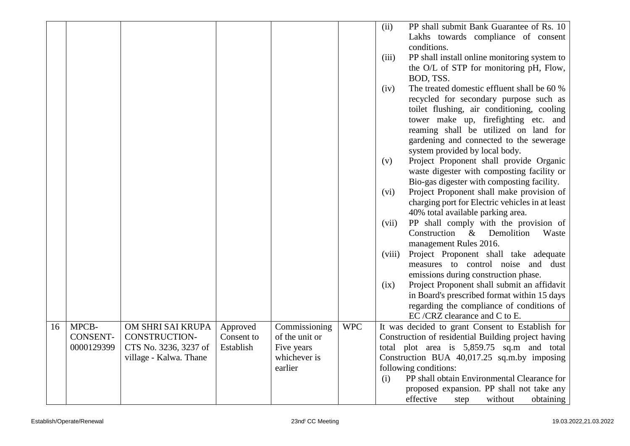|    |                 |                        |            |                |            | PP shall submit Bank Guarantee of Rs. 10<br>(ii)                          |
|----|-----------------|------------------------|------------|----------------|------------|---------------------------------------------------------------------------|
|    |                 |                        |            |                |            | Lakhs towards compliance of consent                                       |
|    |                 |                        |            |                |            | conditions.                                                               |
|    |                 |                        |            |                |            | PP shall install online monitoring system to<br>(iii)                     |
|    |                 |                        |            |                |            | the O/L of STP for monitoring pH, Flow,                                   |
|    |                 |                        |            |                |            | BOD, TSS.                                                                 |
|    |                 |                        |            |                |            | The treated domestic effluent shall be 60 %<br>(iv)                       |
|    |                 |                        |            |                |            | recycled for secondary purpose such as                                    |
|    |                 |                        |            |                |            | toilet flushing, air conditioning, cooling                                |
|    |                 |                        |            |                |            | tower make up, firefighting etc. and                                      |
|    |                 |                        |            |                |            | reaming shall be utilized on land for                                     |
|    |                 |                        |            |                |            | gardening and connected to the sewerage                                   |
|    |                 |                        |            |                |            | system provided by local body.                                            |
|    |                 |                        |            |                |            | Project Proponent shall provide Organic<br>(v)                            |
|    |                 |                        |            |                |            | waste digester with composting facility or                                |
|    |                 |                        |            |                |            | Bio-gas digester with composting facility.                                |
|    |                 |                        |            |                |            | Project Proponent shall make provision of<br>(vi)                         |
|    |                 |                        |            |                |            | charging port for Electric vehicles in at least                           |
|    |                 |                        |            |                |            | 40% total available parking area.                                         |
|    |                 |                        |            |                |            | PP shall comply with the provision of<br>(vii)                            |
|    |                 |                        |            |                |            | Construction<br>$\&$<br>Demolition<br>Waste                               |
|    |                 |                        |            |                |            | management Rules 2016.<br>Project Proponent shall take adequate<br>(viii) |
|    |                 |                        |            |                |            | measures to control noise and dust                                        |
|    |                 |                        |            |                |            | emissions during construction phase.                                      |
|    |                 |                        |            |                |            | Project Proponent shall submit an affidavit<br>(ix)                       |
|    |                 |                        |            |                |            | in Board's prescribed format within 15 days                               |
|    |                 |                        |            |                |            | regarding the compliance of conditions of                                 |
|    |                 |                        |            |                |            | EC/CRZ clearance and C to E.                                              |
| 16 | MPCB-           | OM SHRI SAI KRUPA      | Approved   | Commissioning  | <b>WPC</b> | It was decided to grant Consent to Establish for                          |
|    | <b>CONSENT-</b> | <b>CONSTRUCTION-</b>   | Consent to | of the unit or |            | Construction of residential Building project having                       |
|    | 0000129399      | CTS No. 3236, 3237 of  | Establish  | Five years     |            | total plot area is 5,859.75 sq.m and total                                |
|    |                 | village - Kalwa. Thane |            | whichever is   |            | Construction BUA 40,017.25 sq.m.by imposing                               |
|    |                 |                        |            | earlier        |            | following conditions:                                                     |
|    |                 |                        |            |                |            | PP shall obtain Environmental Clearance for<br>(i)                        |
|    |                 |                        |            |                |            | proposed expansion. PP shall not take any                                 |
|    |                 |                        |            |                |            | effective<br>without<br>obtaining<br>step                                 |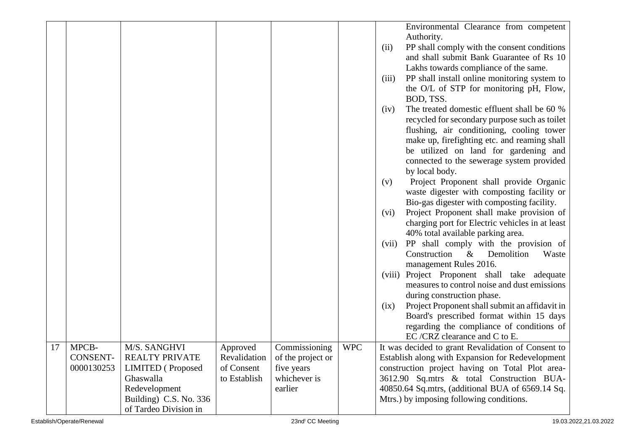|    |            |                          |              |                   |            | Environmental Clearance from competent                                                        |
|----|------------|--------------------------|--------------|-------------------|------------|-----------------------------------------------------------------------------------------------|
|    |            |                          |              |                   |            | Authority.                                                                                    |
|    |            |                          |              |                   |            | PP shall comply with the consent conditions<br>(ii)                                           |
|    |            |                          |              |                   |            | and shall submit Bank Guarantee of Rs 10                                                      |
|    |            |                          |              |                   |            | Lakhs towards compliance of the same.                                                         |
|    |            |                          |              |                   |            | PP shall install online monitoring system to<br>(iii)                                         |
|    |            |                          |              |                   |            | the O/L of STP for monitoring pH, Flow,<br>BOD, TSS.                                          |
|    |            |                          |              |                   |            | The treated domestic effluent shall be 60 %<br>(iv)                                           |
|    |            |                          |              |                   |            | recycled for secondary purpose such as toilet                                                 |
|    |            |                          |              |                   |            | flushing, air conditioning, cooling tower                                                     |
|    |            |                          |              |                   |            | make up, firefighting etc. and reaming shall                                                  |
|    |            |                          |              |                   |            | be utilized on land for gardening and                                                         |
|    |            |                          |              |                   |            | connected to the sewerage system provided                                                     |
|    |            |                          |              |                   |            | by local body.                                                                                |
|    |            |                          |              |                   |            | Project Proponent shall provide Organic<br>(v)                                                |
|    |            |                          |              |                   |            | waste digester with composting facility or                                                    |
|    |            |                          |              |                   |            | Bio-gas digester with composting facility.                                                    |
|    |            |                          |              |                   |            | Project Proponent shall make provision of<br>(vi)                                             |
|    |            |                          |              |                   |            | charging port for Electric vehicles in at least                                               |
|    |            |                          |              |                   |            | 40% total available parking area.                                                             |
|    |            |                          |              |                   |            | PP shall comply with the provision of<br>(vii)<br>Construction<br>$\&$<br>Demolition<br>Waste |
|    |            |                          |              |                   |            | management Rules 2016.                                                                        |
|    |            |                          |              |                   |            | Project Proponent shall take adequate<br>(viii)                                               |
|    |            |                          |              |                   |            | measures to control noise and dust emissions                                                  |
|    |            |                          |              |                   |            | during construction phase.                                                                    |
|    |            |                          |              |                   |            | Project Proponent shall submit an affidavit in<br>(ix)                                        |
|    |            |                          |              |                   |            | Board's prescribed format within 15 days                                                      |
|    |            |                          |              |                   |            | regarding the compliance of conditions of                                                     |
|    |            |                          |              |                   |            | EC/CRZ clearance and C to E.                                                                  |
| 17 | MPCB-      | M/S. SANGHVI             | Approved     | Commissioning     | <b>WPC</b> | It was decided to grant Revalidation of Consent to                                            |
|    | CONSENT-   | <b>REALTY PRIVATE</b>    | Revalidation | of the project or |            | Establish along with Expansion for Redevelopment                                              |
|    | 0000130253 | <b>LIMITED</b> (Proposed | of Consent   | five years        |            | construction project having on Total Plot area-                                               |
|    |            | Ghaswalla                | to Establish | whichever is      |            | 3612.90 Sq.mtrs & total Construction BUA-                                                     |
|    |            | Redevelopment            |              | earlier           |            | 40850.64 Sq.mtrs, (additional BUA of 6569.14 Sq.                                              |
|    |            | Building) C.S. No. 336   |              |                   |            | Mtrs.) by imposing following conditions.                                                      |
|    |            | of Tardeo Division in    |              |                   |            |                                                                                               |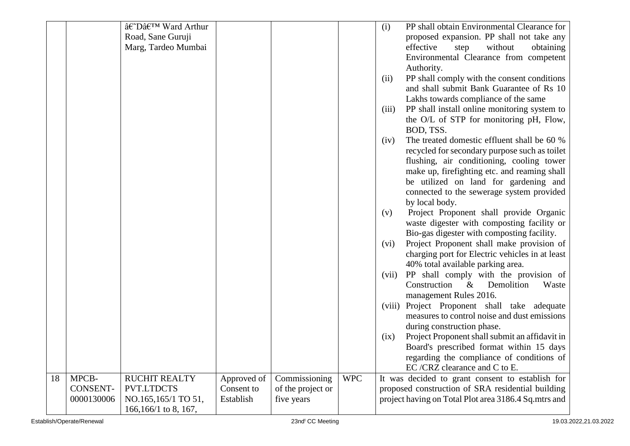|    |                 | â€~Dâ€ <sup>™</sup> Ward Arthur |             |                   |            | (i)   | PP shall obtain Environmental Clearance for          |
|----|-----------------|---------------------------------|-------------|-------------------|------------|-------|------------------------------------------------------|
|    |                 | Road, Sane Guruji               |             |                   |            |       | proposed expansion. PP shall not take any            |
|    |                 | Marg, Tardeo Mumbai             |             |                   |            |       | effective<br>without<br>obtaining<br>step            |
|    |                 |                                 |             |                   |            |       | Environmental Clearance from competent               |
|    |                 |                                 |             |                   |            |       | Authority.                                           |
|    |                 |                                 |             |                   |            | (ii)  | PP shall comply with the consent conditions          |
|    |                 |                                 |             |                   |            |       | and shall submit Bank Guarantee of Rs 10             |
|    |                 |                                 |             |                   |            |       | Lakhs towards compliance of the same                 |
|    |                 |                                 |             |                   |            | (iii) | PP shall install online monitoring system to         |
|    |                 |                                 |             |                   |            |       | the O/L of STP for monitoring pH, Flow,              |
|    |                 |                                 |             |                   |            |       | BOD, TSS.                                            |
|    |                 |                                 |             |                   |            | (iv)  | The treated domestic effluent shall be 60 %          |
|    |                 |                                 |             |                   |            |       | recycled for secondary purpose such as toilet        |
|    |                 |                                 |             |                   |            |       | flushing, air conditioning, cooling tower            |
|    |                 |                                 |             |                   |            |       | make up, firefighting etc. and reaming shall         |
|    |                 |                                 |             |                   |            |       | be utilized on land for gardening and                |
|    |                 |                                 |             |                   |            |       | connected to the sewerage system provided            |
|    |                 |                                 |             |                   |            |       | by local body.                                       |
|    |                 |                                 |             |                   |            | (v)   | Project Proponent shall provide Organic              |
|    |                 |                                 |             |                   |            |       | waste digester with composting facility or           |
|    |                 |                                 |             |                   |            |       | Bio-gas digester with composting facility.           |
|    |                 |                                 |             |                   |            | (vi)  | Project Proponent shall make provision of            |
|    |                 |                                 |             |                   |            |       | charging port for Electric vehicles in at least      |
|    |                 |                                 |             |                   |            |       | 40% total available parking area.                    |
|    |                 |                                 |             |                   |            | (vii) | PP shall comply with the provision of                |
|    |                 |                                 |             |                   |            |       | Construction<br>$&$ Demolition<br>Waste              |
|    |                 |                                 |             |                   |            |       | management Rules 2016.                               |
|    |                 |                                 |             |                   |            |       | (viii) Project Proponent shall take adequate         |
|    |                 |                                 |             |                   |            |       | measures to control noise and dust emissions         |
|    |                 |                                 |             |                   |            |       | during construction phase.                           |
|    |                 |                                 |             |                   |            | (ix)  | Project Proponent shall submit an affidavit in       |
|    |                 |                                 |             |                   |            |       | Board's prescribed format within 15 days             |
|    |                 |                                 |             |                   |            |       | regarding the compliance of conditions of            |
|    |                 |                                 |             |                   |            |       | EC/CRZ clearance and C to E.                         |
| 18 | MPCB-           | RUCHIT REALTY                   | Approved of | Commissioning     | <b>WPC</b> |       | It was decided to grant consent to establish for     |
|    | <b>CONSENT-</b> | PVT.LTDCTS                      | Consent to  | of the project or |            |       | proposed construction of SRA residential building    |
|    | 0000130006      | NO.165,165/1 TO 51,             | Establish   | five years        |            |       | project having on Total Plot area 3186.4 Sq.mtrs and |
|    |                 | 166,166/1 to 8, 167,            |             |                   |            |       |                                                      |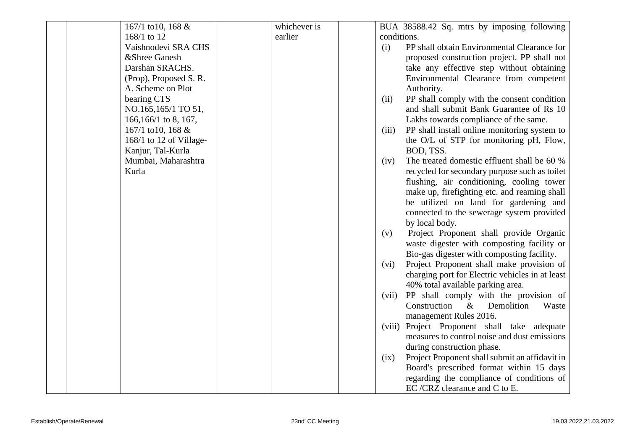| 167/1 to 10, 168 &      | whichever is | BUA 38588.42 Sq. mtrs by imposing following            |
|-------------------------|--------------|--------------------------------------------------------|
| 168/1 to 12             | earlier      | conditions.                                            |
| Vaishnodevi SRA CHS     |              | PP shall obtain Environmental Clearance for<br>(i)     |
| &Shree Ganesh           |              | proposed construction project. PP shall not            |
| Darshan SRACHS.         |              | take any effective step without obtaining              |
| (Prop), Proposed S. R.  |              | Environmental Clearance from competent                 |
| A. Scheme on Plot       |              | Authority.                                             |
| bearing CTS             |              | PP shall comply with the consent condition<br>(ii)     |
| NO.165,165/1 TO 51,     |              | and shall submit Bank Guarantee of Rs 10               |
| $166, 166/1$ to 8, 167, |              | Lakhs towards compliance of the same.                  |
| 167/1 to 10, 168 &      |              | PP shall install online monitoring system to<br>(iii)  |
| 168/1 to 12 of Village- |              | the O/L of STP for monitoring pH, Flow,                |
| Kanjur, Tal-Kurla       |              | BOD, TSS.                                              |
| Mumbai, Maharashtra     |              | The treated domestic effluent shall be 60 %<br>(iv)    |
| Kurla                   |              | recycled for secondary purpose such as toilet          |
|                         |              | flushing, air conditioning, cooling tower              |
|                         |              | make up, firefighting etc. and reaming shall           |
|                         |              | be utilized on land for gardening and                  |
|                         |              | connected to the sewerage system provided              |
|                         |              | by local body.                                         |
|                         |              | Project Proponent shall provide Organic<br>(v)         |
|                         |              | waste digester with composting facility or             |
|                         |              | Bio-gas digester with composting facility.             |
|                         |              | Project Proponent shall make provision of<br>(vi)      |
|                         |              | charging port for Electric vehicles in at least        |
|                         |              | 40% total available parking area.                      |
|                         |              | PP shall comply with the provision of<br>(vii)         |
|                         |              | Construction<br>$\&$<br>Demolition<br>Waste            |
|                         |              | management Rules 2016.                                 |
|                         |              | (viii) Project Proponent shall take adequate           |
|                         |              | measures to control noise and dust emissions           |
|                         |              | during construction phase.                             |
|                         |              | Project Proponent shall submit an affidavit in<br>(ix) |
|                         |              | Board's prescribed format within 15 days               |
|                         |              | regarding the compliance of conditions of              |
|                         |              | EC/CRZ clearance and C to E.                           |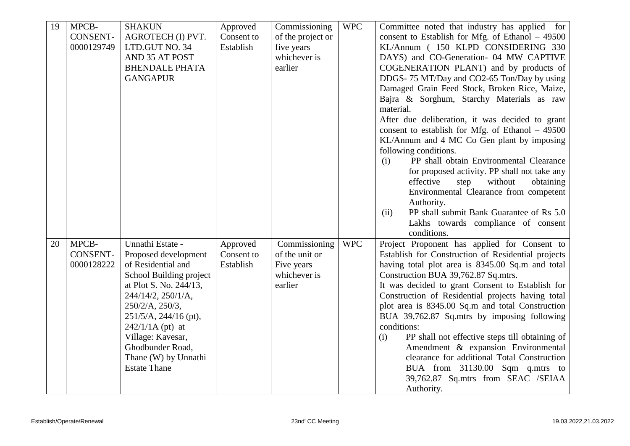| 19 | MPCB-           | <b>SHAKUN</b>           | Approved   | Commissioning     | <b>WPC</b> | Committee noted that industry has applied for         |
|----|-----------------|-------------------------|------------|-------------------|------------|-------------------------------------------------------|
|    | <b>CONSENT-</b> | AGROTECH (I) PVT.       | Consent to | of the project or |            | consent to Establish for Mfg. of Ethanol $-49500$     |
|    | 0000129749      | LTD.GUT NO. 34          | Establish  | five years        |            | KL/Annum (150 KLPD CONSIDERING 330                    |
|    |                 | AND 35 AT POST          |            | whichever is      |            | DAYS) and CO-Generation- 04 MW CAPTIVE                |
|    |                 | <b>BHENDALE PHATA</b>   |            | earlier           |            | COGENERATION PLANT) and by products of                |
|    |                 | <b>GANGAPUR</b>         |            |                   |            | DDGS-75 MT/Day and CO2-65 Ton/Day by using            |
|    |                 |                         |            |                   |            | Damaged Grain Feed Stock, Broken Rice, Maize,         |
|    |                 |                         |            |                   |            | Bajra & Sorghum, Starchy Materials as raw             |
|    |                 |                         |            |                   |            | material.                                             |
|    |                 |                         |            |                   |            | After due deliberation, it was decided to grant       |
|    |                 |                         |            |                   |            | consent to establish for Mfg. of Ethanol $-49500$     |
|    |                 |                         |            |                   |            | KL/Annum and 4 MC Co Gen plant by imposing            |
|    |                 |                         |            |                   |            | following conditions.                                 |
|    |                 |                         |            |                   |            | PP shall obtain Environmental Clearance<br>(i)        |
|    |                 |                         |            |                   |            | for proposed activity. PP shall not take any          |
|    |                 |                         |            |                   |            | effective<br>without<br>obtaining<br>step             |
|    |                 |                         |            |                   |            | Environmental Clearance from competent                |
|    |                 |                         |            |                   |            | Authority.                                            |
|    |                 |                         |            |                   |            | PP shall submit Bank Guarantee of Rs 5.0<br>(ii)      |
|    |                 |                         |            |                   |            | Lakhs towards compliance of consent                   |
|    |                 |                         |            |                   |            | conditions.                                           |
| 20 | MPCB-           | Unnathi Estate -        | Approved   | Commissioning     | <b>WPC</b> | Project Proponent has applied for Consent to          |
|    | <b>CONSENT-</b> | Proposed development    | Consent to | of the unit or    |            | Establish for Construction of Residential projects    |
|    | 0000128222      | of Residential and      | Establish  | Five years        |            | having total plot area is 8345.00 Sq.m and total      |
|    |                 | School Building project |            | whichever is      |            | Construction BUA 39,762.87 Sq.mtrs.                   |
|    |                 | at Plot S. No. 244/13,  |            | earlier           |            | It was decided to grant Consent to Establish for      |
|    |                 | 244/14/2, 250/1/A,      |            |                   |            | Construction of Residential projects having total     |
|    |                 | 250/2/A, 250/3,         |            |                   |            | plot area is 8345.00 Sq.m and total Construction      |
|    |                 | 251/5/A, 244/16 (pt),   |            |                   |            | BUA 39,762.87 Sq.mtrs by imposing following           |
|    |                 | $242/1/1A$ (pt) at      |            |                   |            | conditions:                                           |
|    |                 | Village: Kavesar,       |            |                   |            | PP shall not effective steps till obtaining of<br>(i) |
|    |                 | Ghodbunder Road,        |            |                   |            | Amendment & expansion Environmental                   |
|    |                 | Thane (W) by Unnathi    |            |                   |            | clearance for additional Total Construction           |
|    |                 | <b>Estate Thane</b>     |            |                   |            | BUA from 31130.00 Sqm q.mtrs to                       |
|    |                 |                         |            |                   |            | 39,762.87 Sq.mtrs from SEAC /SEIAA                    |
|    |                 |                         |            |                   |            | Authority.                                            |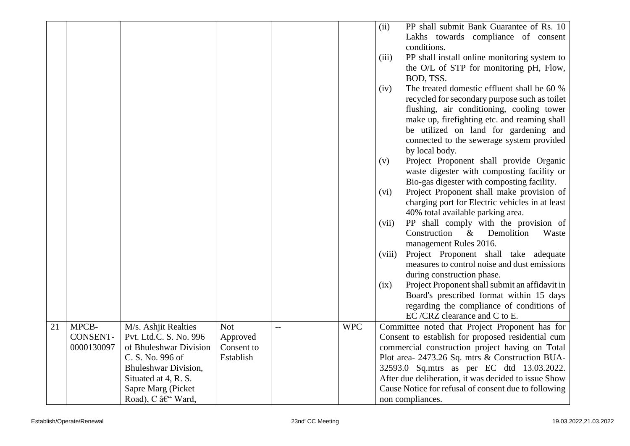|    |                 |                        |            |     |            | (ii)   | PP shall submit Bank Guarantee of Rs. 10                                              |
|----|-----------------|------------------------|------------|-----|------------|--------|---------------------------------------------------------------------------------------|
|    |                 |                        |            |     |            |        | Lakhs towards compliance of consent                                                   |
|    |                 |                        |            |     |            |        | conditions.                                                                           |
|    |                 |                        |            |     |            | (iii)  | PP shall install online monitoring system to                                          |
|    |                 |                        |            |     |            |        | the O/L of STP for monitoring pH, Flow,                                               |
|    |                 |                        |            |     |            |        | BOD, TSS.                                                                             |
|    |                 |                        |            |     |            | (iv)   | The treated domestic effluent shall be 60 %                                           |
|    |                 |                        |            |     |            |        | recycled for secondary purpose such as toilet                                         |
|    |                 |                        |            |     |            |        | flushing, air conditioning, cooling tower                                             |
|    |                 |                        |            |     |            |        | make up, firefighting etc. and reaming shall                                          |
|    |                 |                        |            |     |            |        | be utilized on land for gardening and                                                 |
|    |                 |                        |            |     |            |        | connected to the sewerage system provided                                             |
|    |                 |                        |            |     |            |        | by local body.                                                                        |
|    |                 |                        |            |     |            | (v)    | Project Proponent shall provide Organic                                               |
|    |                 |                        |            |     |            |        | waste digester with composting facility or                                            |
|    |                 |                        |            |     |            |        | Bio-gas digester with composting facility.                                            |
|    |                 |                        |            |     |            | (vi)   | Project Proponent shall make provision of                                             |
|    |                 |                        |            |     |            |        | charging port for Electric vehicles in at least                                       |
|    |                 |                        |            |     |            |        | 40% total available parking area.                                                     |
|    |                 |                        |            |     |            | (vii)  | PP shall comply with the provision of                                                 |
|    |                 |                        |            |     |            |        | Construction<br>Demolition<br>Waste<br>$\&$                                           |
|    |                 |                        |            |     |            |        | management Rules 2016.                                                                |
|    |                 |                        |            |     |            | (viii) | Project Proponent shall take adequate<br>measures to control noise and dust emissions |
|    |                 |                        |            |     |            |        | during construction phase.                                                            |
|    |                 |                        |            |     |            | (ix)   | Project Proponent shall submit an affidavit in                                        |
|    |                 |                        |            |     |            |        | Board's prescribed format within 15 days                                              |
|    |                 |                        |            |     |            |        | regarding the compliance of conditions of                                             |
|    |                 |                        |            |     |            |        | EC/CRZ clearance and C to E.                                                          |
| 21 | MPCB-           | M/s. Ashjit Realties   | <b>Not</b> | $-$ | <b>WPC</b> |        | Committee noted that Project Proponent has for                                        |
|    | <b>CONSENT-</b> | Pvt. Ltd.C. S. No. 996 | Approved   |     |            |        | Consent to establish for proposed residential cum                                     |
|    | 0000130097      | of Bhuleshwar Division | Consent to |     |            |        | commercial construction project having on Total                                       |
|    |                 | C. S. No. 996 of       | Establish  |     |            |        | Plot area- 2473.26 Sq. mtrs & Construction BUA-                                       |
|    |                 | Bhuleshwar Division,   |            |     |            |        | 32593.0 Sq.mtrs as per EC dtd 13.03.2022.                                             |
|    |                 | Situated at 4, R. S.   |            |     |            |        | After due deliberation, it was decided to issue Show                                  |
|    |                 | Sapre Marg (Picket     |            |     |            |        | Cause Notice for refusal of consent due to following                                  |
|    |                 | Road), C – Ward,       |            |     |            |        | non compliances.                                                                      |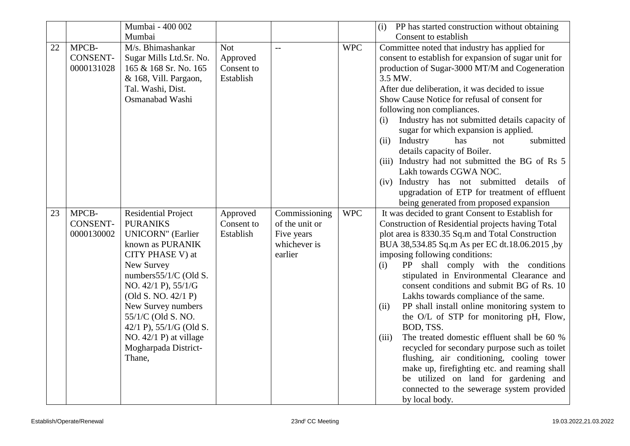|    |                                        | Mumbai - 400 002                                                                                                                                                                                                                                                                                                                            |                                                   |                                                                          |            | PP has started construction without obtaining<br>(i)                                                                                                                                                                                                                                                                                                                                                                                                                                                                                                                                                                                                                                                                                                                                                                                                          |
|----|----------------------------------------|---------------------------------------------------------------------------------------------------------------------------------------------------------------------------------------------------------------------------------------------------------------------------------------------------------------------------------------------|---------------------------------------------------|--------------------------------------------------------------------------|------------|---------------------------------------------------------------------------------------------------------------------------------------------------------------------------------------------------------------------------------------------------------------------------------------------------------------------------------------------------------------------------------------------------------------------------------------------------------------------------------------------------------------------------------------------------------------------------------------------------------------------------------------------------------------------------------------------------------------------------------------------------------------------------------------------------------------------------------------------------------------|
|    |                                        | Mumbai                                                                                                                                                                                                                                                                                                                                      |                                                   |                                                                          |            | Consent to establish                                                                                                                                                                                                                                                                                                                                                                                                                                                                                                                                                                                                                                                                                                                                                                                                                                          |
| 22 | MPCB-<br><b>CONSENT-</b><br>0000131028 | M/s. Bhimashankar<br>Sugar Mills Ltd.Sr. No.<br>165 & 168 Sr. No. 165<br>& 168, Vill. Pargaon,<br>Tal. Washi, Dist.<br>Osmanabad Washi                                                                                                                                                                                                      | <b>Not</b><br>Approved<br>Consent to<br>Establish | $\mathbf{L}$                                                             | <b>WPC</b> | Committee noted that industry has applied for<br>consent to establish for expansion of sugar unit for<br>production of Sugar-3000 MT/M and Cogeneration<br>3.5 MW.<br>After due deliberation, it was decided to issue<br>Show Cause Notice for refusal of consent for<br>following non compliances.<br>Industry has not submitted details capacity of<br>(i)<br>sugar for which expansion is applied.<br>(ii)<br>Industry<br>has<br>submitted<br>not<br>details capacity of Boiler.<br>(iii) Industry had not submitted the BG of Rs 5<br>Lakh towards CGWA NOC.<br>(iv) Industry has not submitted details of<br>upgradation of ETP for treatment of effluent<br>being generated from proposed expansion                                                                                                                                                     |
| 23 | MPCB-<br><b>CONSENT-</b><br>0000130002 | <b>Residential Project</b><br><b>PURANIKS</b><br><b>UNICORN"</b> (Earlier<br>known as PURANIK<br>CITY PHASE V) at<br>New Survey<br>numbers55/1/C (Old S.<br>NO. 42/1 P), 55/1/G<br>(Old S. NO. 42/1 P)<br>New Survey numbers<br>55/1/C (Old S. NO.<br>42/1 P), 55/1/G (Old S.<br>NO. $42/1$ P) at village<br>Mogharpada District-<br>Thane, | Approved<br>Consent to<br>Establish               | Commissioning<br>of the unit or<br>Five years<br>whichever is<br>earlier | <b>WPC</b> | It was decided to grant Consent to Establish for<br>Construction of Residential projects having Total<br>plot area is 8330.35 Sq.m and Total Construction<br>BUA 38,534.85 Sq.m As per EC dt.18.06.2015, by<br>imposing following conditions:<br>PP shall comply with the conditions<br>(i)<br>stipulated in Environmental Clearance and<br>consent conditions and submit BG of Rs. 10<br>Lakhs towards compliance of the same.<br>PP shall install online monitoring system to<br>(ii)<br>the O/L of STP for monitoring pH, Flow,<br>BOD, TSS.<br>The treated domestic effluent shall be 60 %<br>(iii)<br>recycled for secondary purpose such as toilet<br>flushing, air conditioning, cooling tower<br>make up, firefighting etc. and reaming shall<br>be utilized on land for gardening and<br>connected to the sewerage system provided<br>by local body. |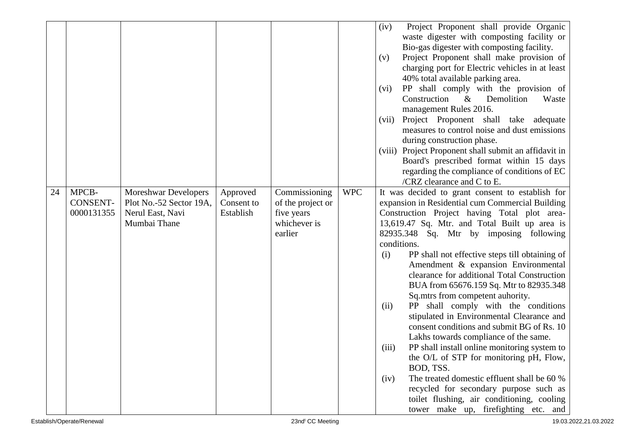| 24 | MPCB-                         | <b>Moreshwar Developers</b>                                 | Approved                | Commissioning                                              | <b>WPC</b> | Project Proponent shall provide Organic<br>(iv)<br>waste digester with composting facility or<br>Bio-gas digester with composting facility.<br>Project Proponent shall make provision of<br>(v)<br>charging port for Electric vehicles in at least<br>40% total available parking area.<br>PP shall comply with the provision of<br>(vi)<br>Construction<br>$\&$<br>Demolition<br>Waste<br>management Rules 2016.<br>Project Proponent shall take adequate<br>(vii)<br>measures to control noise and dust emissions<br>during construction phase.<br>(viii) Project Proponent shall submit an affidavit in<br>Board's prescribed format within 15 days<br>regarding the compliance of conditions of EC<br>/CRZ clearance and $C$ to E.<br>It was decided to grant consent to establish for |
|----|-------------------------------|-------------------------------------------------------------|-------------------------|------------------------------------------------------------|------------|--------------------------------------------------------------------------------------------------------------------------------------------------------------------------------------------------------------------------------------------------------------------------------------------------------------------------------------------------------------------------------------------------------------------------------------------------------------------------------------------------------------------------------------------------------------------------------------------------------------------------------------------------------------------------------------------------------------------------------------------------------------------------------------------|
|    | <b>CONSENT-</b><br>0000131355 | Plot No.-52 Sector 19A,<br>Nerul East, Navi<br>Mumbai Thane | Consent to<br>Establish | of the project or<br>five years<br>whichever is<br>earlier |            | expansion in Residential cum Commercial Building<br>Construction Project having Total plot area-<br>13,619.47 Sq. Mtr. and Total Built up area is<br>82935.348 Sq. Mtr by imposing following<br>conditions.<br>PP shall not effective steps till obtaining of<br>(i)<br>Amendment & expansion Environmental<br>clearance for additional Total Construction<br>BUA from 65676.159 Sq. Mtr to 82935.348<br>Sq.mtrs from competent auhority.<br>PP shall comply with the conditions<br>(ii)<br>stipulated in Environmental Clearance and                                                                                                                                                                                                                                                      |
|    |                               |                                                             |                         |                                                            |            | consent conditions and submit BG of Rs. 10<br>Lakhs towards compliance of the same.<br>PP shall install online monitoring system to<br>(iii)<br>the O/L of STP for monitoring pH, Flow,<br>BOD, TSS.<br>The treated domestic effluent shall be 60 %<br>(iv)<br>recycled for secondary purpose such as<br>toilet flushing, air conditioning, cooling<br>tower make up, firefighting etc. and                                                                                                                                                                                                                                                                                                                                                                                                |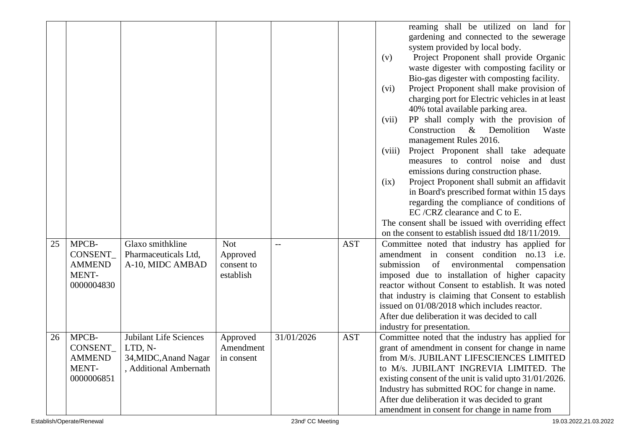|    |                                                           |                                                                                      |                                                   |            |            | reaming shall be utilized on land for<br>gardening and connected to the sewerage<br>system provided by local body.<br>Project Proponent shall provide Organic<br>(v)<br>waste digester with composting facility or<br>Bio-gas digester with composting facility.<br>Project Proponent shall make provision of<br>(vi)<br>charging port for Electric vehicles in at least<br>40% total available parking area.<br>PP shall comply with the provision of<br>(vii)<br>Construction<br>$\&$<br>Demolition<br>Waste<br>management Rules 2016.<br>Project Proponent shall take adequate<br>(viii) |
|----|-----------------------------------------------------------|--------------------------------------------------------------------------------------|---------------------------------------------------|------------|------------|---------------------------------------------------------------------------------------------------------------------------------------------------------------------------------------------------------------------------------------------------------------------------------------------------------------------------------------------------------------------------------------------------------------------------------------------------------------------------------------------------------------------------------------------------------------------------------------------|
|    |                                                           |                                                                                      |                                                   |            |            | measures to control noise and dust<br>emissions during construction phase.<br>Project Proponent shall submit an affidavit<br>(ix)<br>in Board's prescribed format within 15 days<br>regarding the compliance of conditions of<br>EC/CRZ clearance and C to E.<br>The consent shall be issued with overriding effect<br>on the consent to establish issued dtd 18/11/2019.                                                                                                                                                                                                                   |
| 25 | MPCB-<br>CONSENT_<br><b>AMMEND</b><br>MENT-<br>0000004830 | Glaxo smithkline<br>Pharmaceuticals Ltd,<br>A-10, MIDC AMBAD                         | <b>Not</b><br>Approved<br>consent to<br>establish |            | <b>AST</b> | Committee noted that industry has applied for<br>amendment in consent condition no.13 i.e.<br>submission<br>environmental<br>of<br>compensation<br>imposed due to installation of higher capacity<br>reactor without Consent to establish. It was noted<br>that industry is claiming that Consent to establish<br>issued on 01/08/2018 which includes reactor.<br>After due deliberation it was decided to call<br>industry for presentation.                                                                                                                                               |
| 26 | MPCB-<br>CONSENT_<br><b>AMMEND</b><br>MENT-<br>0000006851 | Jubilant Life Sciences<br>LTD, N-<br>34, MIDC, Anand Nagar<br>, Additional Ambernath | Approved<br>Amendment<br>in consent               | 31/01/2026 | <b>AST</b> | Committee noted that the industry has applied for<br>grant of amendment in consent for change in name<br>from M/s. JUBILANT LIFESCIENCES LIMITED<br>to M/s. JUBILANT INGREVIA LIMITED. The<br>existing consent of the unit is valid upto 31/01/2026.<br>Industry has submitted ROC for change in name.<br>After due deliberation it was decided to grant<br>amendment in consent for change in name from                                                                                                                                                                                    |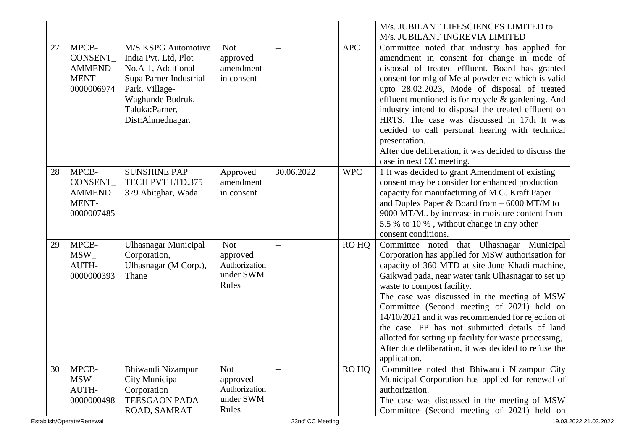|    |               |                             |               |            |            | M/s. JUBILANT LIFESCIENCES LIMITED to                  |
|----|---------------|-----------------------------|---------------|------------|------------|--------------------------------------------------------|
|    |               |                             |               |            |            | M/s. JUBILANT INGREVIA LIMITED                         |
| 27 | MPCB-         | M/S KSPG Automotive         | <b>Not</b>    |            | <b>APC</b> | Committee noted that industry has applied for          |
|    | CONSENT_      | India Pvt. Ltd, Plot        | approved      |            |            | amendment in consent for change in mode of             |
|    | <b>AMMEND</b> | No.A-1, Additional          | amendment     |            |            | disposal of treated effluent. Board has granted        |
|    | MENT-         | Supa Parner Industrial      | in consent    |            |            | consent for mfg of Metal powder etc which is valid     |
|    | 0000006974    | Park, Village-              |               |            |            | upto 28.02.2023, Mode of disposal of treated           |
|    |               | Waghunde Budruk,            |               |            |            | effluent mentioned is for recycle $\&$ gardening. And  |
|    |               | Taluka: Parner,             |               |            |            | industry intend to disposal the treated effluent on    |
|    |               | Dist:Ahmednagar.            |               |            |            | HRTS. The case was discussed in 17th It was            |
|    |               |                             |               |            |            | decided to call personal hearing with technical        |
|    |               |                             |               |            |            | presentation.                                          |
|    |               |                             |               |            |            | After due deliberation, it was decided to discuss the  |
|    |               |                             |               |            |            | case in next CC meeting.                               |
| 28 | MPCB-         | <b>SUNSHINE PAP</b>         | Approved      | 30.06.2022 | <b>WPC</b> | 1 It was decided to grant Amendment of existing        |
|    | CONSENT_      | TECH PVT LTD.375            | amendment     |            |            | consent may be consider for enhanced production        |
|    | <b>AMMEND</b> | 379 Abitghar, Wada          | in consent    |            |            | capacity for manufacturing of M.G. Kraft Paper         |
|    | MENT-         |                             |               |            |            | and Duplex Paper & Board from $-6000$ MT/M to          |
|    | 0000007485    |                             |               |            |            | 9000 MT/M by increase in moisture content from         |
|    |               |                             |               |            |            | 5.5 % to 10 %, without change in any other             |
|    |               |                             |               |            |            | consent conditions.                                    |
| 29 | MPCB-         | <b>Ulhasnagar Municipal</b> | <b>Not</b>    | $-$        | RO HQ      | Committee noted that Ulhasnagar Municipal              |
|    | $MSW_$        | Corporation,                | approved      |            |            | Corporation has applied for MSW authorisation for      |
|    | AUTH-         | Ulhasnagar (M Corp.),       | Authorization |            |            | capacity of 360 MTD at site June Khadi machine,        |
|    | 0000000393    | Thane                       | under SWM     |            |            | Gaikwad pada, near water tank Ulhasnagar to set up     |
|    |               |                             | Rules         |            |            | waste to compost facility.                             |
|    |               |                             |               |            |            | The case was discussed in the meeting of MSW           |
|    |               |                             |               |            |            | Committee (Second meeting of 2021) held on             |
|    |               |                             |               |            |            | 14/10/2021 and it was recommended for rejection of     |
|    |               |                             |               |            |            | the case. PP has not submitted details of land         |
|    |               |                             |               |            |            | allotted for setting up facility for waste processing, |
|    |               |                             |               |            |            | After due deliberation, it was decided to refuse the   |
|    |               |                             |               |            |            | application.                                           |
| 30 | MPCB-         | Bhiwandi Nizampur           | <b>Not</b>    | $-$        | RO HQ      | Committee noted that Bhiwandi Nizampur City            |
|    | $MSW_$        | <b>City Municipal</b>       | approved      |            |            | Municipal Corporation has applied for renewal of       |
|    | AUTH-         | Corporation                 | Authorization |            |            | authorization.                                         |
|    | 0000000498    | <b>TEESGAON PADA</b>        | under SWM     |            |            | The case was discussed in the meeting of MSW           |
|    |               | ROAD, SAMRAT                | Rules         |            |            | Committee (Second meeting of 2021) held on             |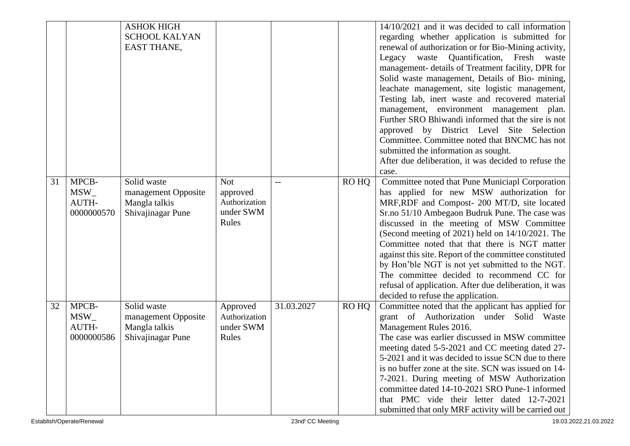|    |            | <b>ASHOK HIGH</b>    |               |            |       | 14/10/2021 and it was decided to call information      |
|----|------------|----------------------|---------------|------------|-------|--------------------------------------------------------|
|    |            | <b>SCHOOL KALYAN</b> |               |            |       | regarding whether application is submitted for         |
|    |            | <b>EAST THANE,</b>   |               |            |       | renewal of authorization or for Bio-Mining activity,   |
|    |            |                      |               |            |       | Quantification, Fresh<br>Legacy waste<br>waste         |
|    |            |                      |               |            |       | management- details of Treatment facility, DPR for     |
|    |            |                      |               |            |       | Solid waste management, Details of Bio-mining,         |
|    |            |                      |               |            |       | leachate management, site logistic management,         |
|    |            |                      |               |            |       | Testing lab, inert waste and recovered material        |
|    |            |                      |               |            |       | management, environment management plan.               |
|    |            |                      |               |            |       | Further SRO Bhiwandi informed that the sire is not     |
|    |            |                      |               |            |       | approved by District Level Site Selection              |
|    |            |                      |               |            |       | Committee. Committee noted that BNCMC has not          |
|    |            |                      |               |            |       |                                                        |
|    |            |                      |               |            |       | submitted the information as sought.                   |
|    |            |                      |               |            |       | After due deliberation, it was decided to refuse the   |
|    |            |                      |               |            |       | case.                                                  |
| 31 | MPCB-      | Solid waste          | <b>Not</b>    |            | RO HO | Committee noted that Pune Municiapl Corporation        |
|    | $MSW_{-}$  | management Opposite  | approved      |            |       | has applied for new MSW authorization for              |
|    | AUTH-      | Mangla talkis        | Authorization |            |       | MRF, RDF and Compost- 200 MT/D, site located           |
|    | 0000000570 | Shivajinagar Pune    | under SWM     |            |       | Sr.no 51/10 Ambegaon Budruk Pune. The case was         |
|    |            |                      | Rules         |            |       | discussed in the meeting of MSW Committee              |
|    |            |                      |               |            |       | (Second meeting of 2021) held on 14/10/2021. The       |
|    |            |                      |               |            |       | Committee noted that that there is NGT matter          |
|    |            |                      |               |            |       | against this site. Report of the committee constituted |
|    |            |                      |               |            |       | by Hon'ble NGT is not yet submitted to the NGT.        |
|    |            |                      |               |            |       | The committee decided to recommend CC for              |
|    |            |                      |               |            |       | refusal of application. After due deliberation, it was |
|    |            |                      |               |            |       | decided to refuse the application.                     |
| 32 | MPCB-      | Solid waste          | Approved      | 31.03.2027 | RO HQ | Committee noted that the applicant has applied for     |
|    | MSW        | management Opposite  | Authorization |            |       | grant of Authorization under Solid Waste               |
|    | AUTH-      | Mangla talkis        | under SWM     |            |       | Management Rules 2016.                                 |
|    | 0000000586 | Shivajinagar Pune    | Rules         |            |       | The case was earlier discussed in MSW committee        |
|    |            |                      |               |            |       | meeting dated 5-5-2021 and CC meeting dated 27-        |
|    |            |                      |               |            |       | 5-2021 and it was decided to issue SCN due to there    |
|    |            |                      |               |            |       | is no buffer zone at the site. SCN was issued on 14-   |
|    |            |                      |               |            |       | 7-2021. During meeting of MSW Authorization            |
|    |            |                      |               |            |       | committee dated 14-10-2021 SRO Pune-1 informed         |
|    |            |                      |               |            |       | that PMC vide their letter dated 12-7-2021             |
|    |            |                      |               |            |       | submitted that only MRF activity will be carried out   |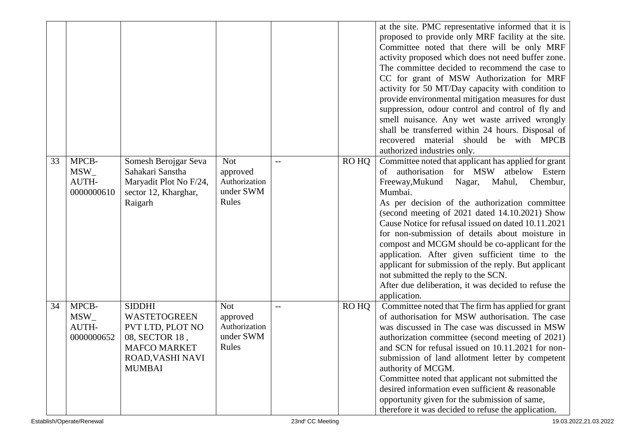|    |                                           |                                                                                                                                        |                                                               |     |       | at the site. PMC representative informed that it is<br>proposed to provide only MRF facility at the site.<br>Committee noted that there will be only MRF<br>activity proposed which does not need buffer zone.<br>The committee decided to recommend the case to<br>CC for grant of MSW Authorization for MRF<br>activity for 50 MT/Day capacity with condition to<br>provide environmental mitigation measures for dust<br>suppression, odour control and control of fly and<br>smell nuisance. Any wet waste arrived wrongly<br>shall be transferred within 24 hours. Disposal of<br>recovered material<br>should be with MPCB                      |
|----|-------------------------------------------|----------------------------------------------------------------------------------------------------------------------------------------|---------------------------------------------------------------|-----|-------|-------------------------------------------------------------------------------------------------------------------------------------------------------------------------------------------------------------------------------------------------------------------------------------------------------------------------------------------------------------------------------------------------------------------------------------------------------------------------------------------------------------------------------------------------------------------------------------------------------------------------------------------------------|
|    |                                           |                                                                                                                                        |                                                               |     |       | authorized industries only.                                                                                                                                                                                                                                                                                                                                                                                                                                                                                                                                                                                                                           |
| 33 | MPCB-<br>$MSW_{-}$<br>AUTH-<br>0000000610 | Somesh Berojgar Seva<br>Sahakari Sanstha<br>Maryadit Plot No F/24,<br>sector 12, Kharghar,<br>Raigarh                                  | <b>Not</b><br>approved<br>Authorization<br>under SWM<br>Rules | $-$ | RO HQ | Committee noted that applicant has applied for grant<br>of authorisation for MSW atbelow Estern<br>Freeway, Mukund<br>Chembur,<br>Nagar, Mahul,<br>Mumbai.<br>As per decision of the authorization committee<br>(second meeting of 2021 dated 14.10.2021) Show<br>Cause Notice for refusal issued on dated 10.11.2021<br>for non-submission of details about moisture in<br>compost and MCGM should be co-applicant for the<br>application. After given sufficient time to the<br>applicant for submission of the reply. But applicant<br>not submitted the reply to the SCN.<br>After due deliberation, it was decided to refuse the<br>application. |
| 34 | MPCB-<br>$MSW_$<br>AUTH-<br>0000000652    | <b>SIDDHI</b><br><b>WASTETOGREEN</b><br>PVT LTD, PLOT NO<br>08, SECTOR 18,<br><b>MAFCO MARKET</b><br>ROAD, VASHI NAVI<br><b>MUMBAI</b> | <b>Not</b><br>approved<br>Authorization<br>under SWM<br>Rules | $-$ | RO HQ | Committee noted that The firm has applied for grant<br>of authorisation for MSW authorisation. The case<br>was discussed in The case was discussed in MSW<br>authorization committee (second meeting of 2021)<br>and SCN for refusal issued on 10.11.2021 for non-<br>submission of land allotment letter by competent<br>authority of MCGM.<br>Committee noted that applicant not submitted the<br>desired information even sufficient & reasonable<br>opportunity given for the submission of same,<br>therefore it was decided to refuse the application.                                                                                          |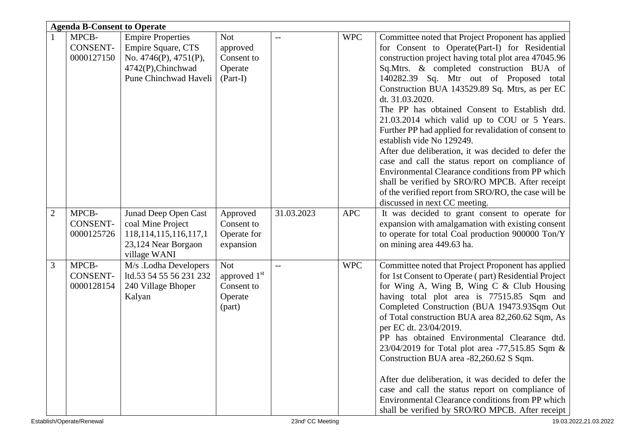|                | <b>Agenda B-Consent to Operate</b>     |                                                                                                                              |                                                                           |            |            |                                                                                                                                                                                                                                                                                                                                                                                                                                                                                                                                                                                                                                                                                                                                                                                                                            |  |  |  |
|----------------|----------------------------------------|------------------------------------------------------------------------------------------------------------------------------|---------------------------------------------------------------------------|------------|------------|----------------------------------------------------------------------------------------------------------------------------------------------------------------------------------------------------------------------------------------------------------------------------------------------------------------------------------------------------------------------------------------------------------------------------------------------------------------------------------------------------------------------------------------------------------------------------------------------------------------------------------------------------------------------------------------------------------------------------------------------------------------------------------------------------------------------------|--|--|--|
|                | MPCB-<br><b>CONSENT-</b><br>0000127150 | <b>Empire Properties</b><br>Empire Square, CTS<br>No. $4746(P)$ , $4751(P)$ ,<br>4742(P), Chinchwad<br>Pune Chinchwad Haveli | <b>Not</b><br>approved<br>Consent to<br>Operate<br>$(Part-I)$             |            | <b>WPC</b> | Committee noted that Project Proponent has applied<br>for Consent to Operate(Part-I) for Residential<br>construction project having total plot area 47045.96<br>Sq.Mtrs. & completed construction BUA of<br>140282.39 Sq. Mtr out of Proposed total<br>Construction BUA 143529.89 Sq. Mtrs, as per EC<br>dt. 31.03.2020.<br>The PP has obtained Consent to Establish dtd.<br>21.03.2014 which valid up to COU or 5 Years.<br>Further PP had applied for revalidation of consent to<br>establish vide No 129249.<br>After due deliberation, it was decided to defer the<br>case and call the status report on compliance of<br>Environmental Clearance conditions from PP which<br>shall be verified by SRO/RO MPCB. After receipt<br>of the verified report from SRO/RO, the case will be<br>discussed in next CC meeting. |  |  |  |
| $\overline{2}$ | MPCB-<br><b>CONSENT-</b><br>0000125726 | Junad Deep Open Cast<br>coal Mine Project<br>118, 114, 115, 116, 117, 1<br>23,124 Near Borgaon<br>village WANI               | Approved<br>Consent to<br>Operate for<br>expansion                        | 31.03.2023 | <b>APC</b> | It was decided to grant consent to operate for<br>expansion with amalgamation with existing consent<br>to operate for total Coal production 900000 Ton/Y<br>on mining area 449.63 ha.                                                                                                                                                                                                                                                                                                                                                                                                                                                                                                                                                                                                                                      |  |  |  |
| 3              | MPCB-<br><b>CONSENT-</b><br>0000128154 | M/s .Lodha Developers<br>ltd.53 54 55 56 231 232<br>240 Village Bhoper<br>Kalyan                                             | <b>Not</b><br>approved 1 <sup>st</sup><br>Consent to<br>Operate<br>(part) | $\qquad -$ | <b>WPC</b> | Committee noted that Project Proponent has applied<br>for 1st Consent to Operate (part) Residential Project<br>for Wing A, Wing B, Wing C & Club Housing<br>having total plot area is 77515.85 Sqm and<br>Completed Construction (BUA 19473.93Sqm Out<br>of Total construction BUA area 82,260.62 Sqm, As<br>per EC dt. 23/04/2019.<br>PP has obtained Environmental Clearance dtd.<br>23/04/2019 for Total plot area -77,515.85 Sqm &<br>Construction BUA area -82,260.62 S Sqm.<br>After due deliberation, it was decided to defer the<br>case and call the status report on compliance of<br>Environmental Clearance conditions from PP which<br>shall be verified by SRO/RO MPCB. After receipt                                                                                                                        |  |  |  |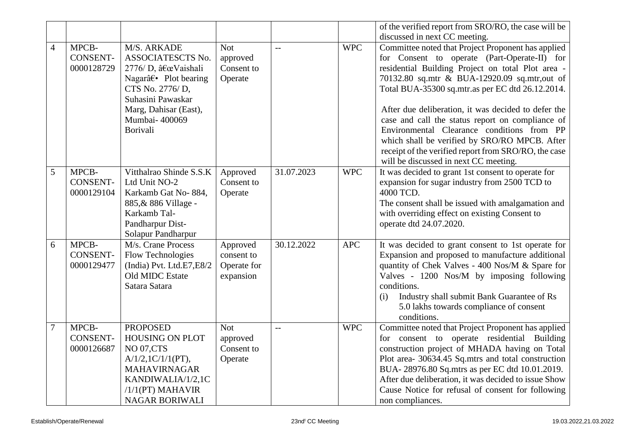|                |                                        |                                                                                                                                                                               |                                                    |            |            | of the verified report from SRO/RO, the case will be                                                                                                                                                                                                                                                                                                                                                                                                                                                                                                                    |
|----------------|----------------------------------------|-------------------------------------------------------------------------------------------------------------------------------------------------------------------------------|----------------------------------------------------|------------|------------|-------------------------------------------------------------------------------------------------------------------------------------------------------------------------------------------------------------------------------------------------------------------------------------------------------------------------------------------------------------------------------------------------------------------------------------------------------------------------------------------------------------------------------------------------------------------------|
|                |                                        |                                                                                                                                                                               |                                                    |            |            | discussed in next CC meeting.                                                                                                                                                                                                                                                                                                                                                                                                                                                                                                                                           |
| $\overline{4}$ | MPCB-<br><b>CONSENT-</b><br>0000128729 | M/S. ARKADE<br>ASSOCIATESCTS No.<br>2776/ D, "Vaishali<br>Nagar†• Plot bearing<br>CTS No. 2776/D,<br>Suhasini Pawaskar<br>Marg, Dahisar (East),<br>Mumbai- 400069<br>Borivali | <b>Not</b><br>approved<br>Consent to<br>Operate    | $-$        | <b>WPC</b> | Committee noted that Project Proponent has applied<br>for Consent to operate (Part-Operate-II) for<br>residential Building Project on total Plot area -<br>70132.80 sq.mtr & BUA-12920.09 sq.mtr, out of<br>Total BUA-35300 sq.mtr.as per EC dtd 26.12.2014.<br>After due deliberation, it was decided to defer the<br>case and call the status report on compliance of<br>Environmental Clearance conditions from PP<br>which shall be verified by SRO/RO MPCB. After<br>receipt of the verified report from SRO/RO, the case<br>will be discussed in next CC meeting. |
| 5              | MPCB-<br><b>CONSENT-</b><br>0000129104 | Vitthalrao Shinde S.S.K<br>Ltd Unit NO-2<br>Karkamb Gat No-884,<br>885, & 886 Village -<br>Karkamb Tal-<br>Pandharpur Dist-<br>Solapur Pandharpur                             | Approved<br>Consent to<br>Operate                  | 31.07.2023 | <b>WPC</b> | It was decided to grant 1st consent to operate for<br>expansion for sugar industry from 2500 TCD to<br>4000 TCD.<br>The consent shall be issued with amalgamation and<br>with overriding effect on existing Consent to<br>operate dtd 24.07.2020.                                                                                                                                                                                                                                                                                                                       |
| 6              | MPCB-<br><b>CONSENT-</b><br>0000129477 | M/s. Crane Process<br>Flow Technologies<br>(India) Pvt. Ltd.E7,E8/2<br>Old MIDC Estate<br>Satara Satara                                                                       | Approved<br>consent to<br>Operate for<br>expansion | 30.12.2022 | <b>APC</b> | It was decided to grant consent to 1st operate for<br>Expansion and proposed to manufacture additional<br>quantity of Chek Valves - 400 Nos/M & Spare for<br>Valves - 1200 Nos/M by imposing following<br>conditions.<br>Industry shall submit Bank Guarantee of Rs<br>(i)<br>5.0 lakhs towards compliance of consent<br>conditions.                                                                                                                                                                                                                                    |
| $\tau$         | MPCB-<br><b>CONSENT-</b><br>0000126687 | <b>PROPOSED</b><br>HOUSING ON PLOT<br><b>NO 07,CTS</b><br>$A/1/2$ , 1C/1/1(PT),<br><b>MAHAVIRNAGAR</b><br>KANDIWALIA/1/2,1C<br>$/1/1$ (PT) MAHAVIR<br><b>NAGAR BORIWALI</b>   | <b>Not</b><br>approved<br>Consent to<br>Operate    | $-$        | <b>WPC</b> | Committee noted that Project Proponent has applied<br>for consent to operate residential Building<br>construction project of MHADA having on Total<br>Plot area- 30634.45 Sq.mtrs and total construction<br>BUA-28976.80 Sq.mtrs as per EC dtd 10.01.2019.<br>After due deliberation, it was decided to issue Show<br>Cause Notice for refusal of consent for following<br>non compliances.                                                                                                                                                                             |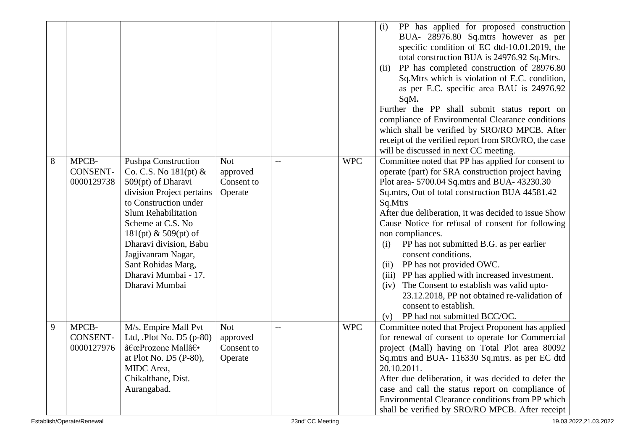|   |                                        |                                                                                                                                                                                                                                                                                                                                |                                                 |     |            | PP has applied for proposed construction<br>(i)<br>BUA- 28976.80 Sq.mtrs however as per<br>specific condition of EC dtd-10.01.2019, the<br>total construction BUA is 24976.92 Sq.Mtrs.<br>PP has completed construction of 28976.80<br>(ii)<br>Sq. Mtrs which is violation of E.C. condition,<br>as per E.C. specific area BAU is 24976.92<br>SqM.<br>Further the PP shall submit status report on<br>compliance of Environmental Clearance conditions<br>which shall be verified by SRO/RO MPCB. After<br>receipt of the verified report from SRO/RO, the case<br>will be discussed in next CC meeting.                                                                                     |
|---|----------------------------------------|--------------------------------------------------------------------------------------------------------------------------------------------------------------------------------------------------------------------------------------------------------------------------------------------------------------------------------|-------------------------------------------------|-----|------------|----------------------------------------------------------------------------------------------------------------------------------------------------------------------------------------------------------------------------------------------------------------------------------------------------------------------------------------------------------------------------------------------------------------------------------------------------------------------------------------------------------------------------------------------------------------------------------------------------------------------------------------------------------------------------------------------|
| 8 | MPCB-<br><b>CONSENT-</b><br>0000129738 | <b>Pushpa Construction</b><br>Co. C.S. No $181(pt)$ &<br>509(pt) of Dharavi<br>division Project pertains<br>to Construction under<br><b>Slum Rehabilitation</b><br>Scheme at C.S. No<br>$181(pt)$ & 509(pt) of<br>Dharavi division, Babu<br>Jagjivanram Nagar,<br>Sant Rohidas Marg,<br>Dharavi Mumbai - 17.<br>Dharavi Mumbai | <b>Not</b><br>approved<br>Consent to<br>Operate | $-$ | <b>WPC</b> | Committee noted that PP has applied for consent to<br>operate (part) for SRA construction project having<br>Plot area- 5700.04 Sq.mtrs and BUA- 43230.30<br>Sq.mtrs, Out of total construction BUA 44581.42<br>Sq.Mtrs<br>After due deliberation, it was decided to issue Show<br>Cause Notice for refusal of consent for following<br>non compliances.<br>PP has not submitted B.G. as per earlier<br>(i)<br>consent conditions.<br>PP has not provided OWC.<br>(ii)<br>(iii) PP has applied with increased investment.<br>The Consent to establish was valid upto-<br>(iv)<br>23.12.2018, PP not obtained re-validation of<br>consent to establish.<br>PP had not submitted BCC/OC.<br>(v) |
| 9 | MPCB-<br><b>CONSENT-</b><br>0000127976 | M/s. Empire Mall Pvt<br>Ltd, .Plot No. D5 (p-80)<br>"Prozone Mall†•<br>at Plot No. D5 (P-80),<br>MIDC Area,<br>Chikalthane, Dist.<br>Aurangabad.                                                                                                                                                                               | <b>Not</b><br>approved<br>Consent to<br>Operate | $-$ | <b>WPC</b> | Committee noted that Project Proponent has applied<br>for renewal of consent to operate for Commercial<br>project (Mall) having on Total Plot area 80092<br>Sq.mtrs and BUA- 116330 Sq.mtrs. as per EC dtd<br>20.10.2011.<br>After due deliberation, it was decided to defer the<br>case and call the status report on compliance of<br>Environmental Clearance conditions from PP which<br>shall be verified by SRO/RO MPCB. After receipt                                                                                                                                                                                                                                                  |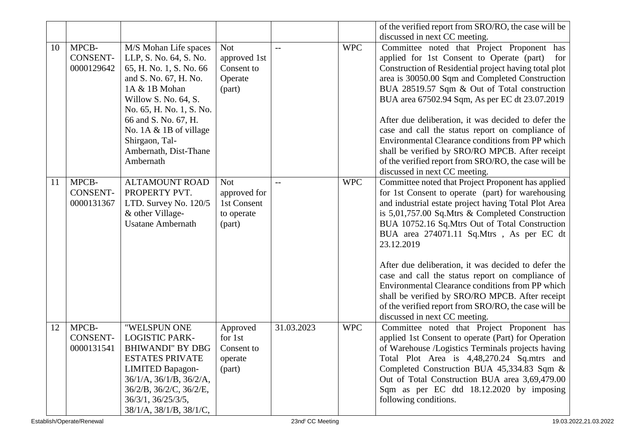|    |                                        |                                                                                                                                                                                                                                                                                       |                                                                   |            |            | of the verified report from SRO/RO, the case will be                                                                                                                                                                                                                                                                                                                                                                                                                                                                                                                                                                                         |
|----|----------------------------------------|---------------------------------------------------------------------------------------------------------------------------------------------------------------------------------------------------------------------------------------------------------------------------------------|-------------------------------------------------------------------|------------|------------|----------------------------------------------------------------------------------------------------------------------------------------------------------------------------------------------------------------------------------------------------------------------------------------------------------------------------------------------------------------------------------------------------------------------------------------------------------------------------------------------------------------------------------------------------------------------------------------------------------------------------------------------|
|    |                                        |                                                                                                                                                                                                                                                                                       |                                                                   |            |            | discussed in next CC meeting.                                                                                                                                                                                                                                                                                                                                                                                                                                                                                                                                                                                                                |
| 10 | MPCB-<br><b>CONSENT-</b><br>0000129642 | M/S Mohan Life spaces<br>LLP, S. No. 64, S. No.<br>65, H. No. 1, S. No. 66<br>and S. No. 67, H. No.<br>1A & 1B Mohan<br>Willow S. No. 64, S.<br>No. 65, H. No. 1, S. No.<br>66 and S. No. 67, H.<br>No. $1A \& 1B$ of village<br>Shirgaon, Tal-<br>Ambernath, Dist-Thane<br>Ambernath | <b>Not</b><br>approved 1st<br>Consent to<br>Operate<br>(part)     | $-$        | <b>WPC</b> | Committee noted that Project Proponent has<br>applied for 1st Consent to Operate (part)<br>for<br>Construction of Residential project having total plot<br>area is 30050.00 Sqm and Completed Construction<br>BUA 28519.57 Sqm & Out of Total construction<br>BUA area 67502.94 Sqm, As per EC dt 23.07.2019<br>After due deliberation, it was decided to defer the<br>case and call the status report on compliance of<br>Environmental Clearance conditions from PP which<br>shall be verified by SRO/RO MPCB. After receipt<br>of the verified report from SRO/RO, the case will be<br>discussed in next CC meeting.                      |
| 11 | MPCB-<br><b>CONSENT-</b><br>0000131367 | <b>ALTAMOUNT ROAD</b><br>PROPERTY PVT.<br>LTD. Survey No. 120/5<br>& other Village-<br><b>Usatane Ambernath</b>                                                                                                                                                                       | <b>Not</b><br>approved for<br>1st Consent<br>to operate<br>(part) | $-$        | <b>WPC</b> | Committee noted that Project Proponent has applied<br>for 1st Consent to operate (part) for warehousing<br>and industrial estate project having Total Plot Area<br>is $5,01,757.00$ Sq. Mtrs & Completed Construction<br>BUA 10752.16 Sq.Mtrs Out of Total Construction<br>BUA area 274071.11 Sq.Mtrs, As per EC dt<br>23.12.2019<br>After due deliberation, it was decided to defer the<br>case and call the status report on compliance of<br>Environmental Clearance conditions from PP which<br>shall be verified by SRO/RO MPCB. After receipt<br>of the verified report from SRO/RO, the case will be<br>discussed in next CC meeting. |
| 12 | MPCB-<br><b>CONSENT-</b><br>0000131541 | "WELSPUN ONE<br><b>LOGISTIC PARK-</b><br><b>BHIWANDI" BY DBG</b><br><b>ESTATES PRIVATE</b><br><b>LIMITED Bapagon-</b><br>$36/1/A$ , $36/1/B$ , $36/2/A$ ,<br>36/2/B, 36/2/C, 36/2/E,<br>36/3/1, 36/25/3/5,<br>38/1/A, 38/1/B, 38/1/C,                                                 | Approved<br>for 1st<br>Consent to<br>operate<br>(part)            | 31.03.2023 | <b>WPC</b> | Committee noted that Project Proponent has<br>applied 1st Consent to operate (Part) for Operation<br>of Warehouse /Logistics Terminals projects having<br>Total Plot Area is 4,48,270.24 Sq.mtrs and<br>Completed Construction BUA 45,334.83 Sqm &<br>Out of Total Construction BUA area 3,69,479.00<br>Sqm as per EC dtd 18.12.2020 by imposing<br>following conditions.                                                                                                                                                                                                                                                                    |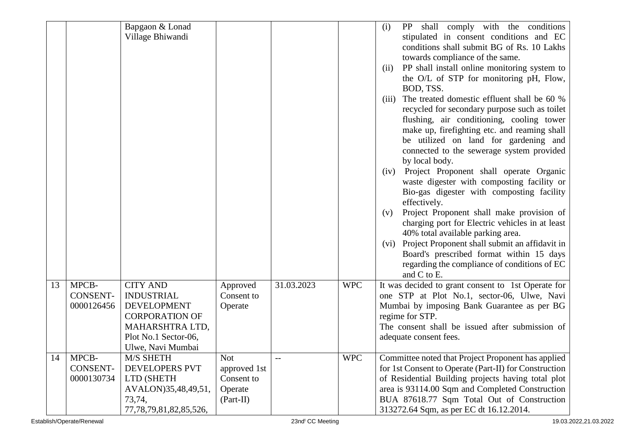|    |                 | Bapgaon & Lonad              |              |            |            | shall comply with the conditions<br>(i)<br>PP          |
|----|-----------------|------------------------------|--------------|------------|------------|--------------------------------------------------------|
|    |                 | Village Bhiwandi             |              |            |            | stipulated in consent conditions and EC                |
|    |                 |                              |              |            |            | conditions shall submit BG of Rs. 10 Lakhs             |
|    |                 |                              |              |            |            | towards compliance of the same.                        |
|    |                 |                              |              |            |            | PP shall install online monitoring system to<br>(ii)   |
|    |                 |                              |              |            |            | the O/L of STP for monitoring pH, Flow,                |
|    |                 |                              |              |            |            | BOD, TSS.                                              |
|    |                 |                              |              |            |            | The treated domestic effluent shall be 60 %<br>(iii)   |
|    |                 |                              |              |            |            | recycled for secondary purpose such as toilet          |
|    |                 |                              |              |            |            | flushing, air conditioning, cooling tower              |
|    |                 |                              |              |            |            | make up, firefighting etc. and reaming shall           |
|    |                 |                              |              |            |            | be utilized on land for gardening and                  |
|    |                 |                              |              |            |            | connected to the sewerage system provided              |
|    |                 |                              |              |            |            | by local body.                                         |
|    |                 |                              |              |            |            | Project Proponent shall operate Organic<br>(iv)        |
|    |                 |                              |              |            |            | waste digester with composting facility or             |
|    |                 |                              |              |            |            | Bio-gas digester with composting facility              |
|    |                 |                              |              |            |            | effectively.                                           |
|    |                 |                              |              |            |            | Project Proponent shall make provision of<br>(v)       |
|    |                 |                              |              |            |            | charging port for Electric vehicles in at least        |
|    |                 |                              |              |            |            | 40% total available parking area.                      |
|    |                 |                              |              |            |            | Project Proponent shall submit an affidavit in<br>(vi) |
|    |                 |                              |              |            |            | Board's prescribed format within 15 days               |
|    |                 |                              |              |            |            | regarding the compliance of conditions of EC           |
|    |                 |                              |              |            |            | and C to E.                                            |
| 13 | MPCB-           | <b>CITY AND</b>              | Approved     | 31.03.2023 | <b>WPC</b> | It was decided to grant consent to 1st Operate for     |
|    | <b>CONSENT-</b> | <b>INDUSTRIAL</b>            | Consent to   |            |            | one STP at Plot No.1, sector-06, Ulwe, Navi            |
|    | 0000126456      | <b>DEVELOPMENT</b>           | Operate      |            |            | Mumbai by imposing Bank Guarantee as per BG            |
|    |                 | <b>CORPORATION OF</b>        |              |            |            | regime for STP.                                        |
|    |                 | MAHARSHTRA LTD,              |              |            |            | The consent shall be issued after submission of        |
|    |                 | Plot No.1 Sector-06,         |              |            |            | adequate consent fees.                                 |
|    |                 | Ulwe, Navi Mumbai            |              |            |            |                                                        |
| 14 | MPCB-           | M/S SHETH                    | <b>Not</b>   | $-$        | <b>WPC</b> | Committee noted that Project Proponent has applied     |
|    | <b>CONSENT-</b> | <b>DEVELOPERS PVT</b>        | approved 1st |            |            | for 1st Consent to Operate (Part-II) for Construction  |
|    | 0000130734      | LTD (SHETH                   | Consent to   |            |            | of Residential Building projects having total plot     |
|    |                 | AVALON)35,48,49,51,          | Operate      |            |            | area is 93114.00 Sqm and Completed Construction        |
|    |                 | 73,74,                       | $(Part-II)$  |            |            | BUA 87618.77 Sqm Total Out of Construction             |
|    |                 | 77, 78, 79, 81, 82, 85, 526, |              |            |            | 313272.64 Sqm, as per EC dt 16.12.2014.                |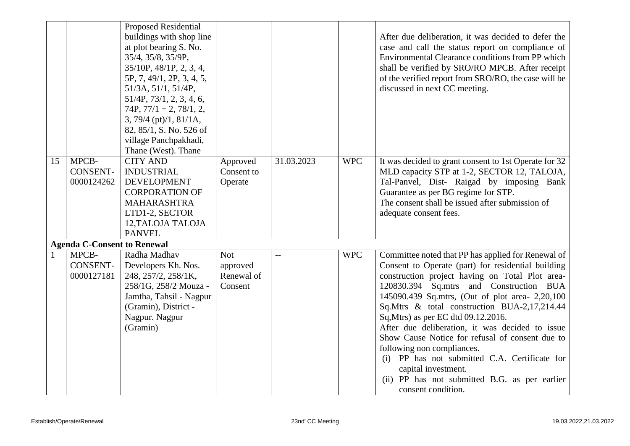|    |                                        | <b>Proposed Residential</b><br>buildings with shop line<br>at plot bearing S. No.<br>35/4, 35/8, 35/9P,<br>35/10P, 48/1P, 2, 3, 4,<br>5P, 7, 49/1, 2P, 3, 4, 5,<br>51/3A, 51/1, 51/4P,<br>$51/4P$ , $73/1$ , 2, 3, 4, 6,<br>$74P, 77/1 + 2, 78/1, 2,$<br>$3, 79/4$ (pt)/1, 81/1A,<br>82, 85/1, S. No. 526 of<br>village Panchpakhadi,<br>Thane (West). Thane |                                                 |            |            | After due deliberation, it was decided to defer the<br>case and call the status report on compliance of<br>Environmental Clearance conditions from PP which<br>shall be verified by SRO/RO MPCB. After receipt<br>of the verified report from SRO/RO, the case will be<br>discussed in next CC meeting.                                                                                                                                                                                                                                                                                                                             |
|----|----------------------------------------|--------------------------------------------------------------------------------------------------------------------------------------------------------------------------------------------------------------------------------------------------------------------------------------------------------------------------------------------------------------|-------------------------------------------------|------------|------------|-------------------------------------------------------------------------------------------------------------------------------------------------------------------------------------------------------------------------------------------------------------------------------------------------------------------------------------------------------------------------------------------------------------------------------------------------------------------------------------------------------------------------------------------------------------------------------------------------------------------------------------|
| 15 | MPCB-<br><b>CONSENT-</b><br>0000124262 | <b>CITY AND</b><br><b>INDUSTRIAL</b><br><b>DEVELOPMENT</b><br><b>CORPORATION OF</b><br><b>MAHARASHTRA</b><br>LTD1-2, SECTOR<br>12, TALOJA TALOJA<br><b>PANVEL</b>                                                                                                                                                                                            | Approved<br>Consent to<br>Operate               | 31.03.2023 | <b>WPC</b> | It was decided to grant consent to 1st Operate for 32<br>MLD capacity STP at 1-2, SECTOR 12, TALOJA,<br>Tal-Panvel, Dist- Raigad by imposing Bank<br>Guarantee as per BG regime for STP.<br>The consent shall be issued after submission of<br>adequate consent fees.                                                                                                                                                                                                                                                                                                                                                               |
|    | <b>Agenda C-Consent to Renewal</b>     |                                                                                                                                                                                                                                                                                                                                                              |                                                 |            |            |                                                                                                                                                                                                                                                                                                                                                                                                                                                                                                                                                                                                                                     |
|    | MPCB-<br><b>CONSENT-</b><br>0000127181 | Radha Madhav<br>Developers Kh. Nos.<br>248, 257/2, 258/1K,<br>258/1G, 258/2 Mouza -<br>Jamtha, Tahsil - Nagpur<br>(Gramin), District -<br>Nagpur. Nagpur<br>(Gramin)                                                                                                                                                                                         | <b>Not</b><br>approved<br>Renewal of<br>Consent |            | <b>WPC</b> | Committee noted that PP has applied for Renewal of<br>Consent to Operate (part) for residential building<br>construction project having on Total Plot area-<br>120830.394 Sq.mtrs and Construction BUA<br>145090.439 Sq.mtrs, (Out of plot area- 2,20,100<br>Sq.Mtrs & total construction BUA-2,17,214.44<br>Sq, Mtrs) as per EC dtd 09.12.2016.<br>After due deliberation, it was decided to issue<br>Show Cause Notice for refusal of consent due to<br>following non compliances.<br>(i) PP has not submitted C.A. Certificate for<br>capital investment.<br>(ii) PP has not submitted B.G. as per earlier<br>consent condition. |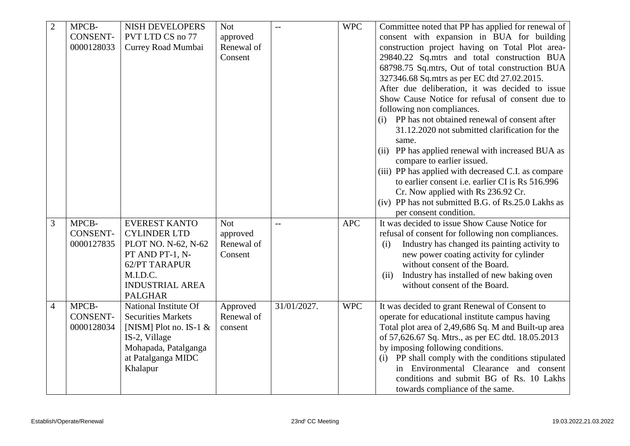| $\overline{2}$ | MPCB-           | <b>NISH DEVELOPERS</b>    | <b>Not</b> |                | <b>WPC</b> | Committee noted that PP has applied for renewal of      |
|----------------|-----------------|---------------------------|------------|----------------|------------|---------------------------------------------------------|
|                | <b>CONSENT-</b> | PVT LTD CS no 77          | approved   |                |            | consent with expansion in BUA for building              |
|                | 0000128033      | Currey Road Mumbai        | Renewal of |                |            | construction project having on Total Plot area-         |
|                |                 |                           | Consent    |                |            | 29840.22 Sq.mtrs and total construction BUA             |
|                |                 |                           |            |                |            | 68798.75 Sq.mtrs, Out of total construction BUA         |
|                |                 |                           |            |                |            | 327346.68 Sq.mtrs as per EC dtd 27.02.2015.             |
|                |                 |                           |            |                |            | After due deliberation, it was decided to issue         |
|                |                 |                           |            |                |            | Show Cause Notice for refusal of consent due to         |
|                |                 |                           |            |                |            | following non compliances.                              |
|                |                 |                           |            |                |            | (i) PP has not obtained renewal of consent after        |
|                |                 |                           |            |                |            | 31.12.2020 not submitted clarification for the          |
|                |                 |                           |            |                |            | same.                                                   |
|                |                 |                           |            |                |            | (ii) PP has applied renewal with increased BUA as       |
|                |                 |                           |            |                |            | compare to earlier issued.                              |
|                |                 |                           |            |                |            | (iii) PP has applied with decreased C.I. as compare     |
|                |                 |                           |            |                |            | to earlier consent <i>i.e.</i> earlier CI is Rs 516.996 |
|                |                 |                           |            |                |            | Cr. Now applied with Rs 236.92 Cr.                      |
|                |                 |                           |            |                |            | (iv) PP has not submitted B.G. of Rs.25.0 Lakhs as      |
|                |                 |                           |            |                |            | per consent condition.                                  |
| 3              | MPCB-           | <b>EVEREST KANTO</b>      | <b>Not</b> | $\overline{a}$ | <b>APC</b> | It was decided to issue Show Cause Notice for           |
|                | <b>CONSENT-</b> | <b>CYLINDER LTD</b>       | approved   |                |            | refusal of consent for following non compliances.       |
|                | 0000127835      | PLOT NO. N-62, N-62       | Renewal of |                |            | Industry has changed its painting activity to<br>(i)    |
|                |                 | PT AND PT-1, N-           | Consent    |                |            | new power coating activity for cylinder                 |
|                |                 | 62/PT TARAPUR             |            |                |            | without consent of the Board.                           |
|                |                 | M.I.D.C.                  |            |                |            | Industry has installed of new baking oven<br>(ii)       |
|                |                 | <b>INDUSTRIAL AREA</b>    |            |                |            | without consent of the Board.                           |
|                |                 | <b>PALGHAR</b>            |            |                |            |                                                         |
| $\overline{4}$ | MPCB-           | National Institute Of     | Approved   | 31/01/2027.    | <b>WPC</b> | It was decided to grant Renewal of Consent to           |
|                | <b>CONSENT-</b> | <b>Securities Markets</b> | Renewal of |                |            | operate for educational institute campus having         |
|                | 0000128034      | [NISM] Plot no. IS-1 $\&$ | consent    |                |            | Total plot area of 2,49,686 Sq. M and Built-up area     |
|                |                 | IS-2, Village             |            |                |            | of 57,626.67 Sq. Mtrs., as per EC dtd. 18.05.2013       |
|                |                 | Mohapada, Patalganga      |            |                |            | by imposing following conditions.                       |
|                |                 | at Patalganga MIDC        |            |                |            | (i) PP shall comply with the conditions stipulated      |
|                |                 | Khalapur                  |            |                |            | in Environmental Clearance and consent                  |
|                |                 |                           |            |                |            | conditions and submit BG of Rs. 10 Lakhs                |
|                |                 |                           |            |                |            | towards compliance of the same.                         |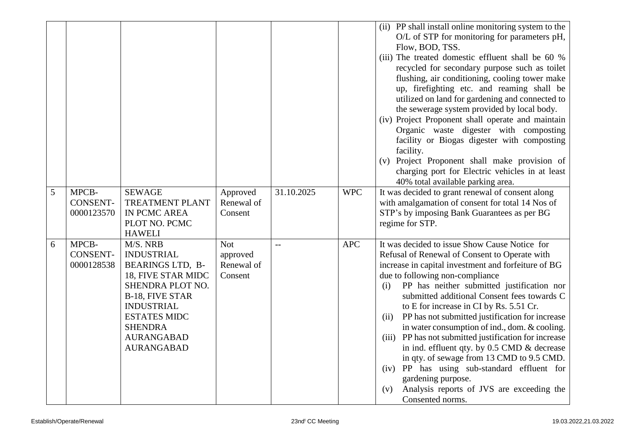|   |                                        |                                                                                                                                                                                                                                                |                                                 |            |            | (ii) PP shall install online monitoring system to the<br>O/L of STP for monitoring for parameters pH,<br>Flow, BOD, TSS.<br>(iii) The treated domestic effluent shall be 60 %<br>recycled for secondary purpose such as toilet<br>flushing, air conditioning, cooling tower make<br>up, firefighting etc. and reaming shall be<br>utilized on land for gardening and connected to<br>the sewerage system provided by local body.<br>(iv) Project Proponent shall operate and maintain<br>Organic waste digester with composting<br>facility or Biogas digester with composting<br>facility.<br>Project Proponent shall make provision of<br>(v)<br>charging port for Electric vehicles in at least<br>40% total available parking area.               |
|---|----------------------------------------|------------------------------------------------------------------------------------------------------------------------------------------------------------------------------------------------------------------------------------------------|-------------------------------------------------|------------|------------|-------------------------------------------------------------------------------------------------------------------------------------------------------------------------------------------------------------------------------------------------------------------------------------------------------------------------------------------------------------------------------------------------------------------------------------------------------------------------------------------------------------------------------------------------------------------------------------------------------------------------------------------------------------------------------------------------------------------------------------------------------|
| 5 | MPCB-<br><b>CONSENT-</b><br>0000123570 | <b>SEWAGE</b><br><b>TREATMENT PLANT</b><br>IN PCMC AREA<br>PLOT NO. PCMC                                                                                                                                                                       | Approved<br>Renewal of<br>Consent               | 31.10.2025 | <b>WPC</b> | It was decided to grant renewal of consent along<br>with amalgamation of consent for total 14 Nos of<br>STP's by imposing Bank Guarantees as per BG<br>regime for STP.                                                                                                                                                                                                                                                                                                                                                                                                                                                                                                                                                                                |
| 6 | MPCB-<br><b>CONSENT-</b><br>0000128538 | <b>HAWELI</b><br>M/S. NRB<br><b>INDUSTRIAL</b><br><b>BEARINGS LTD, B-</b><br>18, FIVE STAR MIDC<br>SHENDRA PLOT NO.<br>B-18, FIVE STAR<br><b>INDUSTRIAL</b><br><b>ESTATES MIDC</b><br><b>SHENDRA</b><br><b>AURANGABAD</b><br><b>AURANGABAD</b> | <b>Not</b><br>approved<br>Renewal of<br>Consent |            | <b>APC</b> | It was decided to issue Show Cause Notice for<br>Refusal of Renewal of Consent to Operate with<br>increase in capital investment and forfeiture of BG<br>due to following non-compliance<br>PP has neither submitted justification nor<br>(i)<br>submitted additional Consent fees towards C<br>to E for increase in CI by Rs. 5.51 Cr.<br>PP has not submitted justification for increase<br>(ii)<br>in water consumption of ind., dom. & cooling.<br>(iii) PP has not submitted justification for increase<br>in ind. effluent qty. by 0.5 CMD & decrease<br>in qty. of sewage from 13 CMD to 9.5 CMD.<br>(iv) PP has using sub-standard effluent for<br>gardening purpose.<br>Analysis reports of JVS are exceeding the<br>(v)<br>Consented norms. |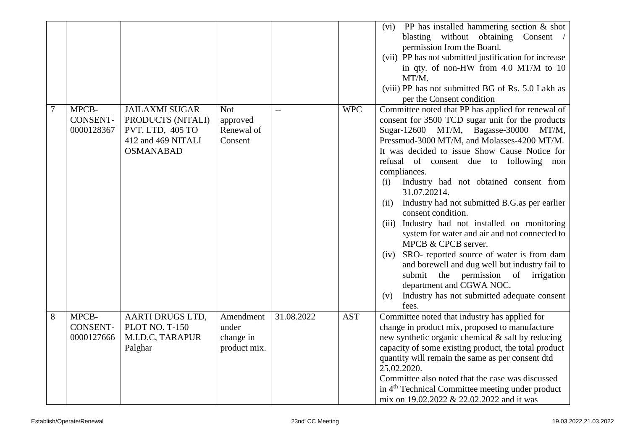|   |                                        |                                                                                                          |                                                 |            |            | PP has installed hammering section $\&$ shot<br>(vi)<br>blasting without obtaining Consent /<br>permission from the Board.<br>(vii) PP has not submitted justification for increase<br>in qty. of non-HW from 4.0 MT/M to 10<br>MT/M.<br>(viii) PP has not submitted BG of Rs. 5.0 Lakh as<br>per the Consent condition                                                                                                                                                                                                                                                                                                                                                                                                                                                                                                          |
|---|----------------------------------------|----------------------------------------------------------------------------------------------------------|-------------------------------------------------|------------|------------|----------------------------------------------------------------------------------------------------------------------------------------------------------------------------------------------------------------------------------------------------------------------------------------------------------------------------------------------------------------------------------------------------------------------------------------------------------------------------------------------------------------------------------------------------------------------------------------------------------------------------------------------------------------------------------------------------------------------------------------------------------------------------------------------------------------------------------|
| 7 | MPCB-<br><b>CONSENT-</b><br>0000128367 | <b>JAILAXMI SUGAR</b><br>PRODUCTS (NITALI)<br>PVT. LTD, 405 TO<br>412 and 469 NITALI<br><b>OSMANABAD</b> | <b>Not</b><br>approved<br>Renewal of<br>Consent | $-$        | <b>WPC</b> | Committee noted that PP has applied for renewal of<br>consent for 3500 TCD sugar unit for the products<br>Sugar-12600 MT/M, Bagasse-30000 MT/M,<br>Pressmud-3000 MT/M, and Molasses-4200 MT/M.<br>It was decided to issue Show Cause Notice for<br>refusal of consent due to following non<br>compliances.<br>Industry had not obtained consent from<br>(i)<br>31.07.20214.<br>Industry had not submitted B.G.as per earlier<br>(ii)<br>consent condition.<br>Industry had not installed on monitoring<br>(iii)<br>system for water and air and not connected to<br>MPCB & CPCB server.<br>SRO- reported source of water is from dam<br>(iv)<br>and borewell and dug well but industry fail to<br>submit the permission of irrigation<br>department and CGWA NOC.<br>Industry has not submitted adequate consent<br>(v)<br>fees. |
| 8 | MPCB-<br>CONSENT-<br>0000127666        | AARTI DRUGS LTD,<br><b>PLOT NO. T-150</b><br>M.I.D.C, TARAPUR<br>Palghar                                 | Amendment<br>under<br>change in<br>product mix. | 31.08.2022 | <b>AST</b> | Committee noted that industry has applied for<br>change in product mix, proposed to manufacture<br>new synthetic organic chemical & salt by reducing<br>capacity of some existing product, the total product<br>quantity will remain the same as per consent dtd<br>25.02.2020.<br>Committee also noted that the case was discussed<br>in 4 <sup>th</sup> Technical Committee meeting under product<br>mix on 19.02.2022 & 22.02.2022 and it was                                                                                                                                                                                                                                                                                                                                                                                 |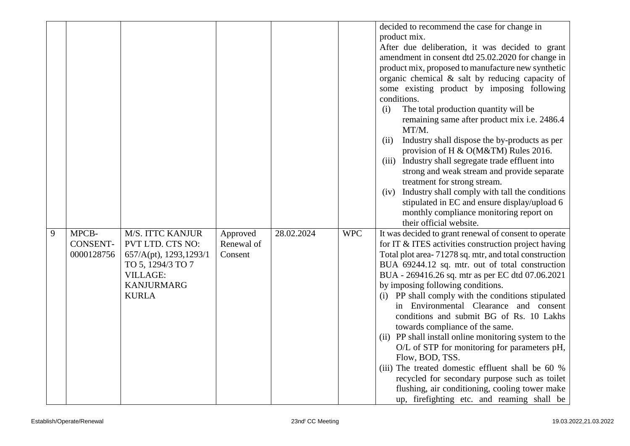|   |                 |                         |            |            |            | decided to recommend the case for change in            |
|---|-----------------|-------------------------|------------|------------|------------|--------------------------------------------------------|
|   |                 |                         |            |            |            | product mix.                                           |
|   |                 |                         |            |            |            | After due deliberation, it was decided to grant        |
|   |                 |                         |            |            |            | amendment in consent dtd 25.02.2020 for change in      |
|   |                 |                         |            |            |            | product mix, proposed to manufacture new synthetic     |
|   |                 |                         |            |            |            | organic chemical $\&$ salt by reducing capacity of     |
|   |                 |                         |            |            |            | some existing product by imposing following            |
|   |                 |                         |            |            |            | conditions.                                            |
|   |                 |                         |            |            |            | The total production quantity will be<br>(i)           |
|   |                 |                         |            |            |            | remaining same after product mix i.e. 2486.4           |
|   |                 |                         |            |            |            | MT/M.                                                  |
|   |                 |                         |            |            |            | Industry shall dispose the by-products as per<br>(ii)  |
|   |                 |                         |            |            |            | provision of H & O(M&TM) Rules 2016.                   |
|   |                 |                         |            |            |            | Industry shall segregate trade effluent into<br>(iii)  |
|   |                 |                         |            |            |            | strong and weak stream and provide separate            |
|   |                 |                         |            |            |            | treatment for strong stream.                           |
|   |                 |                         |            |            |            | Industry shall comply with tall the conditions<br>(iv) |
|   |                 |                         |            |            |            | stipulated in EC and ensure display/upload 6           |
|   |                 |                         |            |            |            | monthly compliance monitoring report on                |
|   |                 |                         |            |            |            | their official website.                                |
| 9 | MPCB-           | M/S. ITTC KANJUR        | Approved   | 28.02.2024 | <b>WPC</b> | It was decided to grant renewal of consent to operate  |
|   | <b>CONSENT-</b> | PVT LTD. CTS NO:        | Renewal of |            |            | for IT & ITES activities construction project having   |
|   | 0000128756      | 657/A(pt), 1293, 1293/1 | Consent    |            |            | Total plot area-71278 sq. mtr, and total construction  |
|   |                 | TO 5, 1294/3 TO 7       |            |            |            | BUA 69244.12 sq. mtr. out of total construction        |
|   |                 | <b>VILLAGE:</b>         |            |            |            | BUA - 269416.26 sq. mtr as per EC dtd 07.06.2021       |
|   |                 | <b>KANJURMARG</b>       |            |            |            | by imposing following conditions.                      |
|   |                 | <b>KURLA</b>            |            |            |            | (i) PP shall comply with the conditions stipulated     |
|   |                 |                         |            |            |            | in Environmental Clearance and consent                 |
|   |                 |                         |            |            |            | conditions and submit BG of Rs. 10 Lakhs               |
|   |                 |                         |            |            |            | towards compliance of the same.                        |
|   |                 |                         |            |            |            | (ii) PP shall install online monitoring system to the  |
|   |                 |                         |            |            |            | O/L of STP for monitoring for parameters pH,           |
|   |                 |                         |            |            |            | Flow, BOD, TSS.                                        |
|   |                 |                         |            |            |            | (iii) The treated domestic effluent shall be 60 %      |
|   |                 |                         |            |            |            | recycled for secondary purpose such as toilet          |
|   |                 |                         |            |            |            |                                                        |
|   |                 |                         |            |            |            | flushing, air conditioning, cooling tower make         |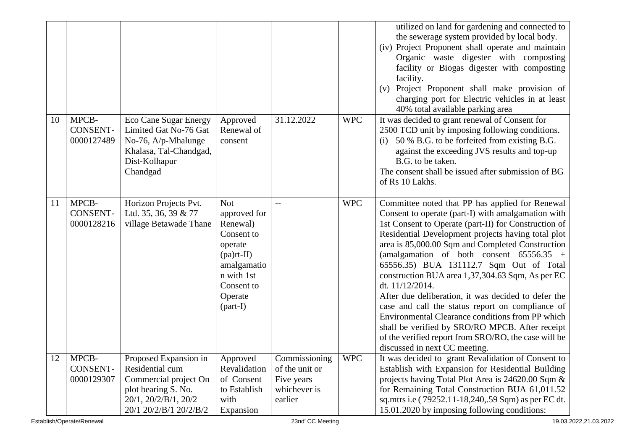|    |                                        |                                                                                                                                            |                                                                                                                                                      |                                                                          |            | utilized on land for gardening and connected to<br>the sewerage system provided by local body.<br>(iv) Project Proponent shall operate and maintain<br>Organic waste digester with composting<br>facility or Biogas digester with composting<br>facility.<br>Project Proponent shall make provision of<br>(v)<br>charging port for Electric vehicles in at least<br>40% total available parking area                                                                                                                                                                                                                                                                                                                                               |
|----|----------------------------------------|--------------------------------------------------------------------------------------------------------------------------------------------|------------------------------------------------------------------------------------------------------------------------------------------------------|--------------------------------------------------------------------------|------------|----------------------------------------------------------------------------------------------------------------------------------------------------------------------------------------------------------------------------------------------------------------------------------------------------------------------------------------------------------------------------------------------------------------------------------------------------------------------------------------------------------------------------------------------------------------------------------------------------------------------------------------------------------------------------------------------------------------------------------------------------|
| 10 | MPCB-<br><b>CONSENT-</b><br>0000127489 | <b>Eco Cane Sugar Energy</b><br>Limited Gat No-76 Gat<br>No-76, A/p-Mhalunge<br>Khalasa, Tal-Chandgad,<br>Dist-Kolhapur<br>Chandgad        | Approved<br>Renewal of<br>consent                                                                                                                    | 31.12.2022                                                               | <b>WPC</b> | It was decided to grant renewal of Consent for<br>2500 TCD unit by imposing following conditions.<br>(i) $50\%$ B.G. to be forfeited from existing B.G.<br>against the exceeding JVS results and top-up<br>B.G. to be taken.<br>The consent shall be issued after submission of BG<br>of Rs 10 Lakhs.                                                                                                                                                                                                                                                                                                                                                                                                                                              |
| 11 | MPCB-<br><b>CONSENT-</b><br>0000128216 | Horizon Projects Pvt.<br>Ltd. 35, 36, 39 & 77<br>village Betawade Thane                                                                    | <b>Not</b><br>approved for<br>Renewal)<br>Consent to<br>operate<br>$(pa)$ rt-II)<br>amalgamatio<br>n with 1st<br>Consent to<br>Operate<br>$(part-I)$ |                                                                          | <b>WPC</b> | Committee noted that PP has applied for Renewal<br>Consent to operate (part-I) with amalgamation with<br>1st Consent to Operate (part-II) for Construction of<br>Residential Development projects having total plot<br>area is 85,000.00 Sqm and Completed Construction<br>(amalgamation of both consent $65556.35$ +<br>65556.35) BUA 131112.7 Sqm Out of Total<br>construction BUA area 1,37,304.63 Sqm, As per EC<br>dt. 11/12/2014.<br>After due deliberation, it was decided to defer the<br>case and call the status report on compliance of<br>Environmental Clearance conditions from PP which<br>shall be verified by SRO/RO MPCB. After receipt<br>of the verified report from SRO/RO, the case will be<br>discussed in next CC meeting. |
| 12 | MPCB-<br><b>CONSENT-</b><br>0000129307 | Proposed Expansion in<br>Residential cum<br>Commercial project On<br>plot bearing S. No.<br>20/1, 20/2/B/1, 20/2<br>20/1 20/2/B/1 20/2/B/2 | Approved<br>Revalidation<br>of Consent<br>to Establish<br>with<br>Expansion                                                                          | Commissioning<br>of the unit or<br>Five years<br>whichever is<br>earlier | <b>WPC</b> | It was decided to grant Revalidation of Consent to<br>Establish with Expansion for Residential Building<br>projects having Total Plot Area is 24620.00 Sqm &<br>for Remaining Total Construction BUA 61,011.52<br>sq.mtrs i.e (79252.11-18,240,.59 Sqm) as per EC dt.<br>15.01.2020 by imposing following conditions:                                                                                                                                                                                                                                                                                                                                                                                                                              |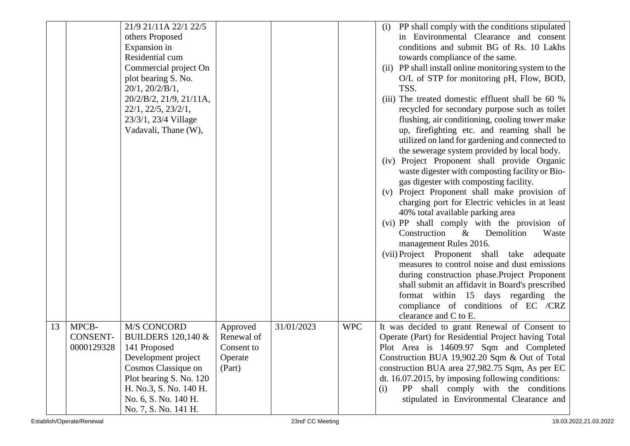|    |                 | 21/9 21/11A 22/1 22/5                             |            |            |            | PP shall comply with the conditions stipulated<br>(i)                                   |
|----|-----------------|---------------------------------------------------|------------|------------|------------|-----------------------------------------------------------------------------------------|
|    |                 | others Proposed                                   |            |            |            | in Environmental Clearance and consent                                                  |
|    |                 | Expansion in                                      |            |            |            | conditions and submit BG of Rs. 10 Lakhs                                                |
|    |                 | Residential cum                                   |            |            |            | towards compliance of the same.                                                         |
|    |                 | Commercial project On                             |            |            |            | (ii) PP shall install online monitoring system to the                                   |
|    |                 | plot bearing S. No.                               |            |            |            | O/L of STP for monitoring pH, Flow, BOD,                                                |
|    |                 | $20/1$ , $20/2/B/1$ ,                             |            |            |            | TSS.                                                                                    |
|    |                 | 20/2/B/2, 21/9, 21/11A,                           |            |            |            | (iii) The treated domestic effluent shall be 60 %                                       |
|    |                 | 22/1, 22/5, 23/2/1,                               |            |            |            | recycled for secondary purpose such as toilet                                           |
|    |                 | 23/3/1, 23/4 Village                              |            |            |            | flushing, air conditioning, cooling tower make                                          |
|    |                 | Vadavali, Thane (W),                              |            |            |            | up, firefighting etc. and reaming shall be                                              |
|    |                 |                                                   |            |            |            | utilized on land for gardening and connected to                                         |
|    |                 |                                                   |            |            |            | the sewerage system provided by local body.                                             |
|    |                 |                                                   |            |            |            | (iv) Project Proponent shall provide Organic                                            |
|    |                 |                                                   |            |            |            | waste digester with composting facility or Bio-                                         |
|    |                 |                                                   |            |            |            | gas digester with composting facility.                                                  |
|    |                 |                                                   |            |            |            | (v) Project Proponent shall make provision of                                           |
|    |                 |                                                   |            |            |            | charging port for Electric vehicles in at least                                         |
|    |                 |                                                   |            |            |            | 40% total available parking area                                                        |
|    |                 |                                                   |            |            |            | (vi) PP shall comply with the provision of                                              |
|    |                 |                                                   |            |            |            | Construction<br>$\&$<br>Demolition<br>Waste                                             |
|    |                 |                                                   |            |            |            | management Rules 2016.                                                                  |
|    |                 |                                                   |            |            |            | (vii) Project Proponent shall take adequate                                             |
|    |                 |                                                   |            |            |            | measures to control noise and dust emissions                                            |
|    |                 |                                                   |            |            |            | during construction phase. Project Proponent                                            |
|    |                 |                                                   |            |            |            | shall submit an affidavit in Board's prescribed                                         |
|    |                 |                                                   |            |            |            | format within 15 days regarding the                                                     |
|    |                 |                                                   |            |            |            | compliance of conditions of EC /CRZ                                                     |
|    |                 |                                                   |            |            |            | clearance and C to E.                                                                   |
| 13 | MPCB-           | <b>M/S CONCORD</b>                                | Approved   | 31/01/2023 | <b>WPC</b> | It was decided to grant Renewal of Consent to                                           |
|    | <b>CONSENT-</b> | <b>BUILDERS 120,140 &amp;</b>                     | Renewal of |            |            | Operate (Part) for Residential Project having Total                                     |
|    | 0000129328      | 141 Proposed                                      | Consent to |            |            | Plot Area is 14609.97 Sqm and Completed                                                 |
|    |                 | Development project                               | Operate    |            |            | Construction BUA 19,902.20 Sqm & Out of Total                                           |
|    |                 | Cosmos Classique on                               | (Part)     |            |            | construction BUA area 27,982.75 Sqm, As per EC                                          |
|    |                 | Plot bearing S. No. 120<br>H. No.3, S. No. 140 H. |            |            |            | dt. $16.07.2015$ , by imposing following conditions:                                    |
|    |                 | No. 6, S. No. 140 H.                              |            |            |            | PP shall comply with the conditions<br>(i)<br>stipulated in Environmental Clearance and |
|    |                 | No. 7, S. No. 141 H.                              |            |            |            |                                                                                         |
|    |                 |                                                   |            |            |            |                                                                                         |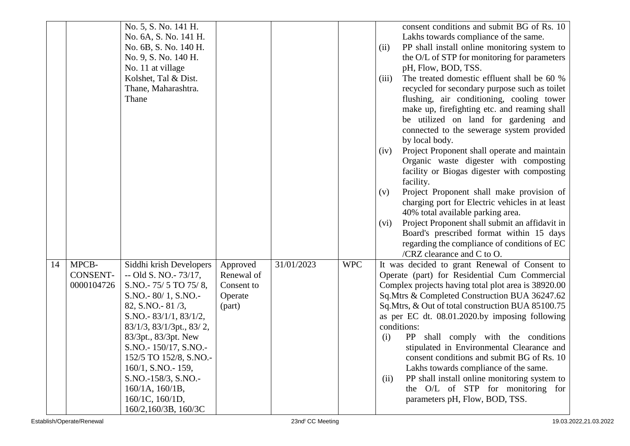|    |                 | No. 5, S. No. 141 H.      |            |            |            | consent conditions and submit BG of Rs. 10             |
|----|-----------------|---------------------------|------------|------------|------------|--------------------------------------------------------|
|    |                 | No. 6A, S. No. 141 H.     |            |            |            | Lakhs towards compliance of the same.                  |
|    |                 | No. 6B, S. No. 140 H.     |            |            |            | PP shall install online monitoring system to<br>(ii)   |
|    |                 | No. 9, S. No. 140 H.      |            |            |            | the O/L of STP for monitoring for parameters           |
|    |                 | No. 11 at village         |            |            |            | pH, Flow, BOD, TSS.                                    |
|    |                 | Kolshet, Tal & Dist.      |            |            |            | The treated domestic effluent shall be 60 %<br>(iii)   |
|    |                 | Thane, Maharashtra.       |            |            |            | recycled for secondary purpose such as toilet          |
|    |                 | Thane                     |            |            |            | flushing, air conditioning, cooling tower              |
|    |                 |                           |            |            |            | make up, firefighting etc. and reaming shall           |
|    |                 |                           |            |            |            | be utilized on land for gardening and                  |
|    |                 |                           |            |            |            | connected to the sewerage system provided              |
|    |                 |                           |            |            |            | by local body.                                         |
|    |                 |                           |            |            |            | Project Proponent shall operate and maintain<br>(iv)   |
|    |                 |                           |            |            |            | Organic waste digester with composting                 |
|    |                 |                           |            |            |            | facility or Biogas digester with composting            |
|    |                 |                           |            |            |            | facility.                                              |
|    |                 |                           |            |            |            | Project Proponent shall make provision of<br>(v)       |
|    |                 |                           |            |            |            | charging port for Electric vehicles in at least        |
|    |                 |                           |            |            |            | 40% total available parking area.                      |
|    |                 |                           |            |            |            | Project Proponent shall submit an affidavit in<br>(vi) |
|    |                 |                           |            |            |            | Board's prescribed format within 15 days               |
|    |                 |                           |            |            |            | regarding the compliance of conditions of EC           |
|    |                 |                           |            |            |            | /CRZ clearance and $C$ to $O$ .                        |
| 14 | MPCB-           | Siddhi krish Developers   | Approved   | 31/01/2023 | <b>WPC</b> | It was decided to grant Renewal of Consent to          |
|    | <b>CONSENT-</b> | $-$ Old S. NO. $-$ 73/17, | Renewal of |            |            | Operate (part) for Residential Cum Commercial          |
|    | 0000104726      | S.NO.-75/5 TO 75/8,       | Consent to |            |            | Complex projects having total plot area is 38920.00    |
|    |                 | $S.NO.-80/1, S.NO.-$      | Operate    |            |            | Sq.Mtrs & Completed Construction BUA 36247.62          |
|    |                 | 82, S.NO. - 81/3,         | (part)     |            |            | Sq.Mtrs, & Out of total construction BUA 85100.75      |
|    |                 | S.NO.- $83/1/1, 83/1/2,$  |            |            |            | as per EC dt. 08.01.2020.by imposing following         |
|    |                 | 83/1/3, 83/1/3pt., 83/2,  |            |            |            | conditions:                                            |
|    |                 | 83/3pt., 83/3pt. New      |            |            |            | PP shall comply with the conditions<br>(i)             |
|    |                 | S.NO. - 150/17, S.NO. -   |            |            |            | stipulated in Environmental Clearance and              |
|    |                 | 152/5 TO 152/8, S.NO.-    |            |            |            | consent conditions and submit BG of Rs. 10             |
|    |                 | 160/1, S.NO.-159,         |            |            |            | Lakhs towards compliance of the same.                  |
|    |                 | S.NO.-158/3, S.NO.-       |            |            |            | PP shall install online monitoring system to<br>(ii)   |
|    |                 | 160/1A, 160/1B,           |            |            |            | the O/L of STP for monitoring for                      |
|    |                 | 160/1C, 160/1D,           |            |            |            | parameters pH, Flow, BOD, TSS.                         |
|    |                 | 160/2,160/3B, 160/3C      |            |            |            |                                                        |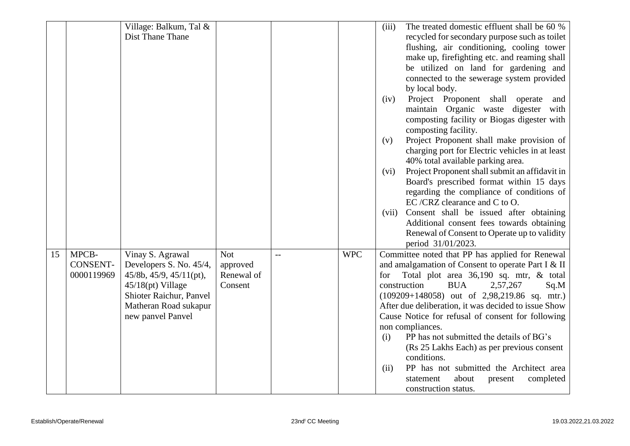|    |                 | Village: Balkum, Tal &  |            |            | The treated domestic effluent shall be 60 %<br>(iii)   |
|----|-----------------|-------------------------|------------|------------|--------------------------------------------------------|
|    |                 | Dist Thane Thane        |            |            | recycled for secondary purpose such as toilet          |
|    |                 |                         |            |            | flushing, air conditioning, cooling tower              |
|    |                 |                         |            |            | make up, firefighting etc. and reaming shall           |
|    |                 |                         |            |            | be utilized on land for gardening and                  |
|    |                 |                         |            |            | connected to the sewerage system provided              |
|    |                 |                         |            |            | by local body.                                         |
|    |                 |                         |            |            | Project Proponent shall operate<br>(iv)<br>and         |
|    |                 |                         |            |            | maintain Organic waste digester with                   |
|    |                 |                         |            |            | composting facility or Biogas digester with            |
|    |                 |                         |            |            | composting facility.                                   |
|    |                 |                         |            |            | Project Proponent shall make provision of<br>(v)       |
|    |                 |                         |            |            | charging port for Electric vehicles in at least        |
|    |                 |                         |            |            | 40% total available parking area.                      |
|    |                 |                         |            |            | Project Proponent shall submit an affidavit in<br>(vi) |
|    |                 |                         |            |            | Board's prescribed format within 15 days               |
|    |                 |                         |            |            | regarding the compliance of conditions of              |
|    |                 |                         |            |            | EC/CRZ clearance and C to O.                           |
|    |                 |                         |            |            | Consent shall be issued after obtaining<br>(vii)       |
|    |                 |                         |            |            | Additional consent fees towards obtaining              |
|    |                 |                         |            |            | Renewal of Consent to Operate up to validity           |
|    |                 |                         |            |            | period 31/01/2023.                                     |
| 15 | MPCB-           | Vinay S. Agrawal        | <b>Not</b> | <b>WPC</b> | Committee noted that PP has applied for Renewal        |
|    | <b>CONSENT-</b> | Developers S. No. 45/4, | approved   |            | and amalgamation of Consent to operate Part I & II     |
|    | 0000119969      | 45/8b, 45/9, 45/11(pt), | Renewal of |            | Total plot area 36,190 sq. mtr, & total<br>for         |
|    |                 | $45/18(pt)$ Village     | Consent    |            | <b>BUA</b><br>construction<br>2,57,267<br>Sq.M         |
|    |                 | Shioter Raichur, Panvel |            |            | $(109209+148058)$ out of 2,98,219.86 sq. mtr.)         |
|    |                 | Matheran Road sukapur   |            |            | After due deliberation, it was decided to issue Show   |
|    |                 | new panvel Panvel       |            |            | Cause Notice for refusal of consent for following      |
|    |                 |                         |            |            | non compliances.                                       |
|    |                 |                         |            |            | PP has not submitted the details of BG's<br>(i)        |
|    |                 |                         |            |            | (Rs 25 Lakhs Each) as per previous consent             |
|    |                 |                         |            |            | conditions.<br>PP has not submitted the Architect area |
|    |                 |                         |            |            | (ii)<br>about<br>statement                             |
|    |                 |                         |            |            | present<br>completed<br>construction status.           |
|    |                 |                         |            |            |                                                        |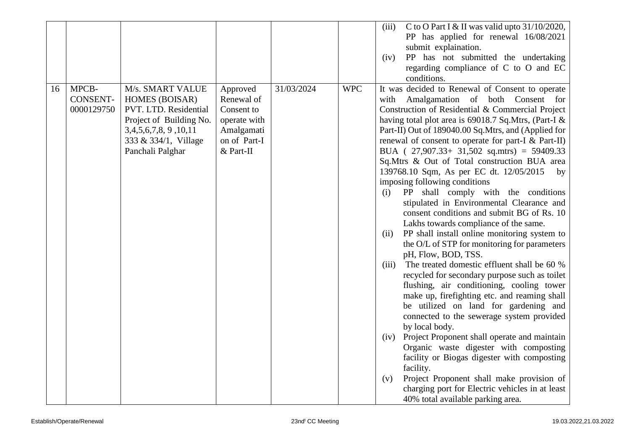|    |                 |                         |              |            |            | C to O Part I & II was valid upto $31/10/2020$ ,<br>(iii)                                      |
|----|-----------------|-------------------------|--------------|------------|------------|------------------------------------------------------------------------------------------------|
|    |                 |                         |              |            |            | PP has applied for renewal 16/08/2021                                                          |
|    |                 |                         |              |            |            | submit explaination.                                                                           |
|    |                 |                         |              |            |            | PP has not submitted the undertaking<br>(iv)                                                   |
|    |                 |                         |              |            |            | regarding compliance of C to O and EC                                                          |
|    |                 |                         |              |            |            | conditions.                                                                                    |
| 16 | MPCB-           | M/s. SMART VALUE        | Approved     | 31/03/2024 | <b>WPC</b> | It was decided to Renewal of Consent to operate                                                |
|    | <b>CONSENT-</b> | <b>HOMES (BOISAR)</b>   | Renewal of   |            |            | Amalgamation of both Consent for<br>with                                                       |
|    | 0000129750      | PVT. LTD. Residential   | Consent to   |            |            | Construction of Residential & Commercial Project                                               |
|    |                 | Project of Building No. | operate with |            |            | having total plot area is 69018.7 Sq.Mtrs, (Part-I &                                           |
|    |                 | 3,4,5,6,7,8, 9,10,11    | Amalgamati   |            |            | Part-II) Out of 189040.00 Sq.Mtrs, and (Applied for                                            |
|    |                 | 333 & 334/1, Village    | on of Part-I |            |            | renewal of consent to operate for part-I & Part-II)                                            |
|    |                 | Panchali Palghar        | & Part-II    |            |            | BUA ( $27,907.33+31,502$ sq.mtrs) = 59409.33                                                   |
|    |                 |                         |              |            |            | Sq.Mtrs & Out of Total construction BUA area                                                   |
|    |                 |                         |              |            |            | 139768.10 Sqm, As per EC dt. 12/05/2015<br>by                                                  |
|    |                 |                         |              |            |            | imposing following conditions                                                                  |
|    |                 |                         |              |            |            | PP shall comply with the conditions<br>(i)                                                     |
|    |                 |                         |              |            |            | stipulated in Environmental Clearance and                                                      |
|    |                 |                         |              |            |            | consent conditions and submit BG of Rs. 10                                                     |
|    |                 |                         |              |            |            | Lakhs towards compliance of the same.                                                          |
|    |                 |                         |              |            |            | PP shall install online monitoring system to<br>(ii)                                           |
|    |                 |                         |              |            |            | the O/L of STP for monitoring for parameters                                                   |
|    |                 |                         |              |            |            | pH, Flow, BOD, TSS.                                                                            |
|    |                 |                         |              |            |            | The treated domestic effluent shall be 60 %<br>(iii)                                           |
|    |                 |                         |              |            |            | recycled for secondary purpose such as toilet                                                  |
|    |                 |                         |              |            |            | flushing, air conditioning, cooling tower                                                      |
|    |                 |                         |              |            |            | make up, firefighting etc. and reaming shall                                                   |
|    |                 |                         |              |            |            | be utilized on land for gardening and                                                          |
|    |                 |                         |              |            |            | connected to the sewerage system provided                                                      |
|    |                 |                         |              |            |            | by local body.                                                                                 |
|    |                 |                         |              |            |            | Project Proponent shall operate and maintain<br>(iv)<br>Organic waste digester with composting |
|    |                 |                         |              |            |            | facility or Biogas digester with composting                                                    |
|    |                 |                         |              |            |            | facility.                                                                                      |
|    |                 |                         |              |            |            | Project Proponent shall make provision of<br>(v)                                               |
|    |                 |                         |              |            |            | charging port for Electric vehicles in at least                                                |
|    |                 |                         |              |            |            | 40% total available parking area.                                                              |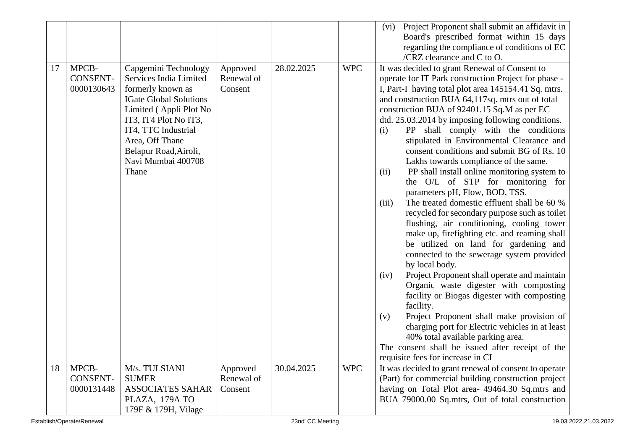|    |                 |                               |            |            |            | Project Proponent shall submit an affidavit in<br>(vi) |
|----|-----------------|-------------------------------|------------|------------|------------|--------------------------------------------------------|
|    |                 |                               |            |            |            | Board's prescribed format within 15 days               |
|    |                 |                               |            |            |            | regarding the compliance of conditions of EC           |
|    |                 |                               |            |            |            | /CRZ clearance and $C$ to $O$ .                        |
| 17 | MPCB-           | Capgemini Technology          | Approved   | 28.02.2025 | <b>WPC</b> | It was decided to grant Renewal of Consent to          |
|    | <b>CONSENT-</b> | Services India Limited        | Renewal of |            |            | operate for IT Park construction Project for phase -   |
|    | 0000130643      | formerly known as             | Consent    |            |            | I, Part-I having total plot area 145154.41 Sq. mtrs.   |
|    |                 | <b>IGate Global Solutions</b> |            |            |            | and construction BUA 64,117sq. mtrs out of total       |
|    |                 | Limited (Appli Plot No        |            |            |            | construction BUA of 92401.15 Sq.M as per EC            |
|    |                 | IT3, IT4 Plot No IT3,         |            |            |            | dtd. 25.03.2014 by imposing following conditions.      |
|    |                 | IT4, TTC Industrial           |            |            |            | PP shall comply with the conditions<br>(i)             |
|    |                 | Area, Off Thane               |            |            |            | stipulated in Environmental Clearance and              |
|    |                 | Belapur Road, Airoli,         |            |            |            | consent conditions and submit BG of Rs. 10             |
|    |                 | Navi Mumbai 400708            |            |            |            | Lakhs towards compliance of the same.                  |
|    |                 | Thane                         |            |            |            | PP shall install online monitoring system to<br>(ii)   |
|    |                 |                               |            |            |            | the O/L of STP for monitoring for                      |
|    |                 |                               |            |            |            | parameters pH, Flow, BOD, TSS.                         |
|    |                 |                               |            |            |            | The treated domestic effluent shall be 60 %<br>(iii)   |
|    |                 |                               |            |            |            | recycled for secondary purpose such as toilet          |
|    |                 |                               |            |            |            | flushing, air conditioning, cooling tower              |
|    |                 |                               |            |            |            | make up, firefighting etc. and reaming shall           |
|    |                 |                               |            |            |            | be utilized on land for gardening and                  |
|    |                 |                               |            |            |            | connected to the sewerage system provided              |
|    |                 |                               |            |            |            | by local body.                                         |
|    |                 |                               |            |            |            | Project Proponent shall operate and maintain<br>(iv)   |
|    |                 |                               |            |            |            | Organic waste digester with composting                 |
|    |                 |                               |            |            |            | facility or Biogas digester with composting            |
|    |                 |                               |            |            |            | facility.                                              |
|    |                 |                               |            |            |            | Project Proponent shall make provision of<br>(v)       |
|    |                 |                               |            |            |            | charging port for Electric vehicles in at least        |
|    |                 |                               |            |            |            | 40% total available parking area.                      |
|    |                 |                               |            |            |            | The consent shall be issued after receipt of the       |
|    |                 |                               |            |            |            | requisite fees for increase in CI                      |
| 18 | MPCB-           | M/s. TULSIANI                 | Approved   | 30.04.2025 | <b>WPC</b> | It was decided to grant renewal of consent to operate  |
|    | CONSENT-        | <b>SUMER</b>                  | Renewal of |            |            | (Part) for commercial building construction project    |
|    | 0000131448      | <b>ASSOCIATES SAHAR</b>       | Consent    |            |            | having on Total Plot area- 49464.30 Sq.mtrs and        |
|    |                 | PLAZA, 179A TO                |            |            |            | BUA 79000.00 Sq.mtrs, Out of total construction        |
|    |                 | 179F & 179H, Vilage           |            |            |            |                                                        |